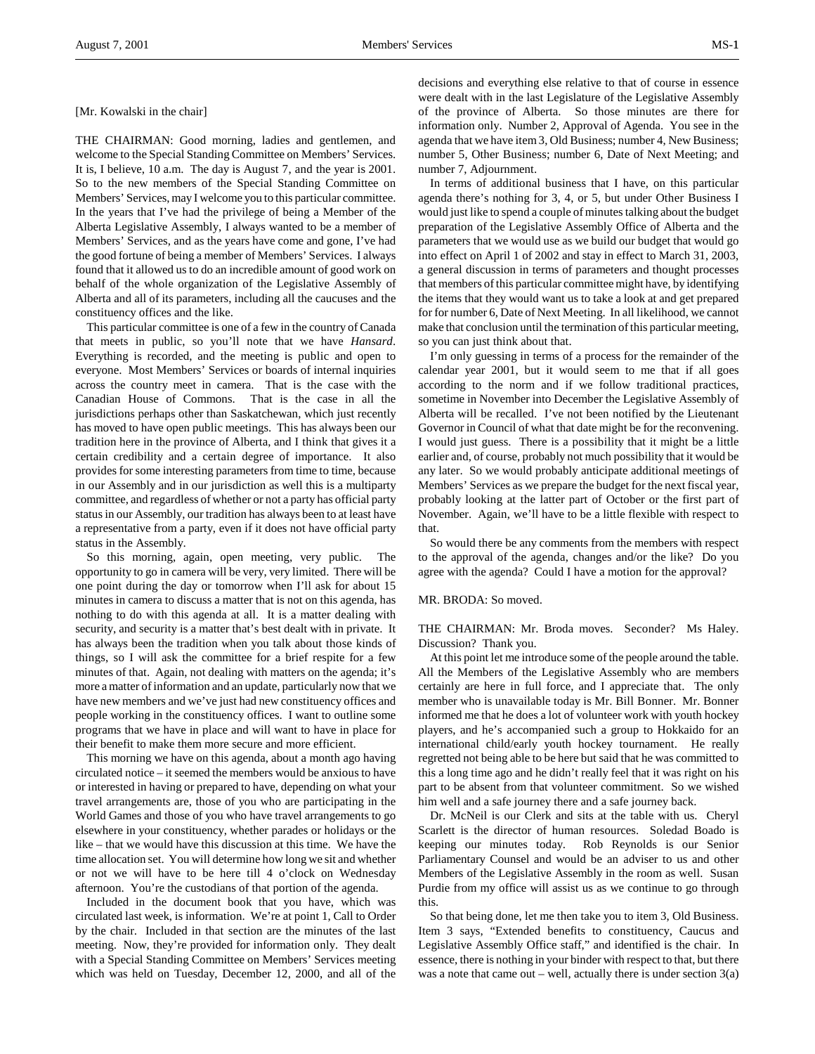THE CHAIRMAN: Good morning, ladies and gentlemen, and welcome to the Special Standing Committee on Members' Services. It is, I believe, 10 a.m. The day is August 7, and the year is 2001. So to the new members of the Special Standing Committee on Members' Services, may I welcome you to this particular committee. In the years that I've had the privilege of being a Member of the Alberta Legislative Assembly, I always wanted to be a member of Members' Services, and as the years have come and gone, I've had the good fortune of being a member of Members' Services. I always found that it allowed us to do an incredible amount of good work on behalf of the whole organization of the Legislative Assembly of Alberta and all of its parameters, including all the caucuses and the constituency offices and the like.

This particular committee is one of a few in the country of Canada that meets in public, so you'll note that we have *Hansard*. Everything is recorded, and the meeting is public and open to everyone. Most Members' Services or boards of internal inquiries across the country meet in camera. That is the case with the Canadian House of Commons. That is the case in all the jurisdictions perhaps other than Saskatchewan, which just recently has moved to have open public meetings. This has always been our tradition here in the province of Alberta, and I think that gives it a certain credibility and a certain degree of importance. It also provides for some interesting parameters from time to time, because in our Assembly and in our jurisdiction as well this is a multiparty committee, and regardless of whether or not a party has official party status in our Assembly, our tradition has always been to at least have a representative from a party, even if it does not have official party status in the Assembly.

So this morning, again, open meeting, very public. The opportunity to go in camera will be very, very limited. There will be one point during the day or tomorrow when I'll ask for about 15 minutes in camera to discuss a matter that is not on this agenda, has nothing to do with this agenda at all. It is a matter dealing with security, and security is a matter that's best dealt with in private. It has always been the tradition when you talk about those kinds of things, so I will ask the committee for a brief respite for a few minutes of that. Again, not dealing with matters on the agenda; it's more a matter of information and an update, particularly now that we have new members and we've just had new constituency offices and people working in the constituency offices. I want to outline some programs that we have in place and will want to have in place for their benefit to make them more secure and more efficient.

This morning we have on this agenda, about a month ago having circulated notice – it seemed the members would be anxious to have or interested in having or prepared to have, depending on what your travel arrangements are, those of you who are participating in the World Games and those of you who have travel arrangements to go elsewhere in your constituency, whether parades or holidays or the like – that we would have this discussion at this time. We have the time allocation set. You will determine how long we sit and whether or not we will have to be here till 4 o'clock on Wednesday afternoon. You're the custodians of that portion of the agenda.

Included in the document book that you have, which was circulated last week, is information. We're at point 1, Call to Order by the chair. Included in that section are the minutes of the last meeting. Now, they're provided for information only. They dealt with a Special Standing Committee on Members' Services meeting which was held on Tuesday, December 12, 2000, and all of the

decisions and everything else relative to that of course in essence were dealt with in the last Legislature of the Legislative Assembly of the province of Alberta. So those minutes are there for information only. Number 2, Approval of Agenda. You see in the agenda that we have item 3, Old Business; number 4, New Business; number 5, Other Business; number 6, Date of Next Meeting; and number 7, Adjournment.

In terms of additional business that I have, on this particular agenda there's nothing for 3, 4, or 5, but under Other Business I would just like to spend a couple of minutes talking about the budget preparation of the Legislative Assembly Office of Alberta and the parameters that we would use as we build our budget that would go into effect on April 1 of 2002 and stay in effect to March 31, 2003, a general discussion in terms of parameters and thought processes that members of this particular committee might have, by identifying the items that they would want us to take a look at and get prepared for for number 6, Date of Next Meeting. In all likelihood, we cannot make that conclusion until the termination of this particular meeting, so you can just think about that.

I'm only guessing in terms of a process for the remainder of the calendar year 2001, but it would seem to me that if all goes according to the norm and if we follow traditional practices, sometime in November into December the Legislative Assembly of Alberta will be recalled. I've not been notified by the Lieutenant Governor in Council of what that date might be for the reconvening. I would just guess. There is a possibility that it might be a little earlier and, of course, probably not much possibility that it would be any later. So we would probably anticipate additional meetings of Members' Services as we prepare the budget for the next fiscal year, probably looking at the latter part of October or the first part of November. Again, we'll have to be a little flexible with respect to that.

So would there be any comments from the members with respect to the approval of the agenda, changes and/or the like? Do you agree with the agenda? Could I have a motion for the approval?

### MR. BRODA: So moved.

THE CHAIRMAN: Mr. Broda moves. Seconder? Ms Haley. Discussion? Thank you.

At this point let me introduce some of the people around the table. All the Members of the Legislative Assembly who are members certainly are here in full force, and I appreciate that. The only member who is unavailable today is Mr. Bill Bonner. Mr. Bonner informed me that he does a lot of volunteer work with youth hockey players, and he's accompanied such a group to Hokkaido for an international child/early youth hockey tournament. He really regretted not being able to be here but said that he was committed to this a long time ago and he didn't really feel that it was right on his part to be absent from that volunteer commitment. So we wished him well and a safe journey there and a safe journey back.

Dr. McNeil is our Clerk and sits at the table with us. Cheryl Scarlett is the director of human resources. Soledad Boado is keeping our minutes today. Rob Reynolds is our Senior Parliamentary Counsel and would be an adviser to us and other Members of the Legislative Assembly in the room as well. Susan Purdie from my office will assist us as we continue to go through this.

So that being done, let me then take you to item 3, Old Business. Item 3 says, "Extended benefits to constituency, Caucus and Legislative Assembly Office staff," and identified is the chair. In essence, there is nothing in your binder with respect to that, but there was a note that came out – well, actually there is under section  $3(a)$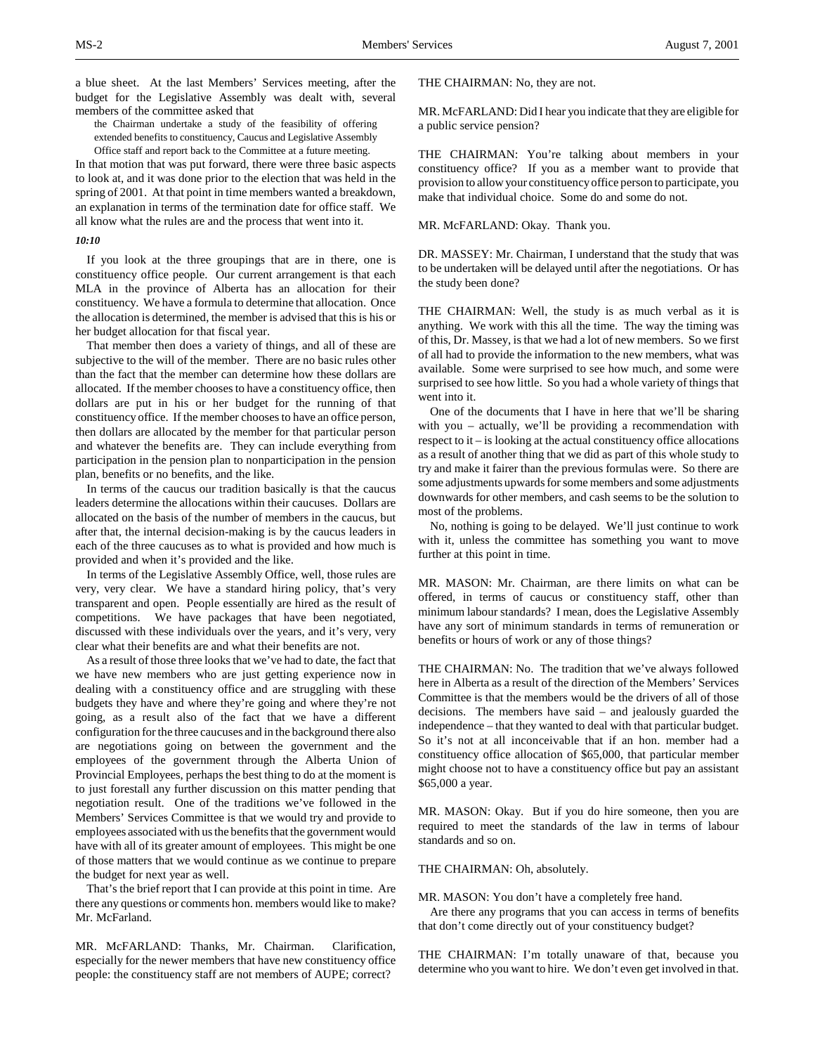a blue sheet. At the last Members' Services meeting, after the budget for the Legislative Assembly was dealt with, several members of the committee asked that

the Chairman undertake a study of the feasibility of offering extended benefits to constituency, Caucus and Legislative Assembly Office staff and report back to the Committee at a future meeting.

In that motion that was put forward, there were three basic aspects to look at, and it was done prior to the election that was held in the spring of 2001. At that point in time members wanted a breakdown, an explanation in terms of the termination date for office staff. We all know what the rules are and the process that went into it.

## *10:10*

If you look at the three groupings that are in there, one is constituency office people. Our current arrangement is that each MLA in the province of Alberta has an allocation for their constituency. We have a formula to determine that allocation. Once the allocation is determined, the member is advised that this is his or her budget allocation for that fiscal year.

That member then does a variety of things, and all of these are subjective to the will of the member. There are no basic rules other than the fact that the member can determine how these dollars are allocated. If the member chooses to have a constituency office, then dollars are put in his or her budget for the running of that constituency office. If the member chooses to have an office person, then dollars are allocated by the member for that particular person and whatever the benefits are. They can include everything from participation in the pension plan to nonparticipation in the pension plan, benefits or no benefits, and the like.

In terms of the caucus our tradition basically is that the caucus leaders determine the allocations within their caucuses. Dollars are allocated on the basis of the number of members in the caucus, but after that, the internal decision-making is by the caucus leaders in each of the three caucuses as to what is provided and how much is provided and when it's provided and the like.

In terms of the Legislative Assembly Office, well, those rules are very, very clear. We have a standard hiring policy, that's very transparent and open. People essentially are hired as the result of competitions. We have packages that have been negotiated, discussed with these individuals over the years, and it's very, very clear what their benefits are and what their benefits are not.

As a result of those three looks that we've had to date, the fact that we have new members who are just getting experience now in dealing with a constituency office and are struggling with these budgets they have and where they're going and where they're not going, as a result also of the fact that we have a different configuration for the three caucuses and in the background there also are negotiations going on between the government and the employees of the government through the Alberta Union of Provincial Employees, perhaps the best thing to do at the moment is to just forestall any further discussion on this matter pending that negotiation result. One of the traditions we've followed in the Members' Services Committee is that we would try and provide to employees associated with us the benefits that the government would have with all of its greater amount of employees. This might be one of those matters that we would continue as we continue to prepare the budget for next year as well.

That's the brief report that I can provide at this point in time. Are there any questions or comments hon. members would like to make? Mr. McFarland.

MR. McFARLAND: Thanks, Mr. Chairman. Clarification, especially for the newer members that have new constituency office people: the constituency staff are not members of AUPE; correct?

THE CHAIRMAN: No, they are not.

MR. McFARLAND: Did I hear you indicate that they are eligible for a public service pension?

THE CHAIRMAN: You're talking about members in your constituency office? If you as a member want to provide that provision to allow your constituency office person to participate, you make that individual choice. Some do and some do not.

MR. McFARLAND: Okay. Thank you.

DR. MASSEY: Mr. Chairman, I understand that the study that was to be undertaken will be delayed until after the negotiations. Or has the study been done?

THE CHAIRMAN: Well, the study is as much verbal as it is anything. We work with this all the time. The way the timing was of this, Dr. Massey, is that we had a lot of new members. So we first of all had to provide the information to the new members, what was available. Some were surprised to see how much, and some were surprised to see how little. So you had a whole variety of things that went into it.

One of the documents that I have in here that we'll be sharing with you – actually, we'll be providing a recommendation with respect to it – is looking at the actual constituency office allocations as a result of another thing that we did as part of this whole study to try and make it fairer than the previous formulas were. So there are some adjustments upwards for some members and some adjustments downwards for other members, and cash seems to be the solution to most of the problems.

No, nothing is going to be delayed. We'll just continue to work with it, unless the committee has something you want to move further at this point in time.

MR. MASON: Mr. Chairman, are there limits on what can be offered, in terms of caucus or constituency staff, other than minimum labour standards? I mean, does the Legislative Assembly have any sort of minimum standards in terms of remuneration or benefits or hours of work or any of those things?

THE CHAIRMAN: No. The tradition that we've always followed here in Alberta as a result of the direction of the Members' Services Committee is that the members would be the drivers of all of those decisions. The members have said – and jealously guarded the independence – that they wanted to deal with that particular budget. So it's not at all inconceivable that if an hon. member had a constituency office allocation of \$65,000, that particular member might choose not to have a constituency office but pay an assistant \$65,000 a year.

MR. MASON: Okay. But if you do hire someone, then you are required to meet the standards of the law in terms of labour standards and so on.

THE CHAIRMAN: Oh, absolutely.

MR. MASON: You don't have a completely free hand.

Are there any programs that you can access in terms of benefits that don't come directly out of your constituency budget?

THE CHAIRMAN: I'm totally unaware of that, because you determine who you want to hire. We don't even get involved in that.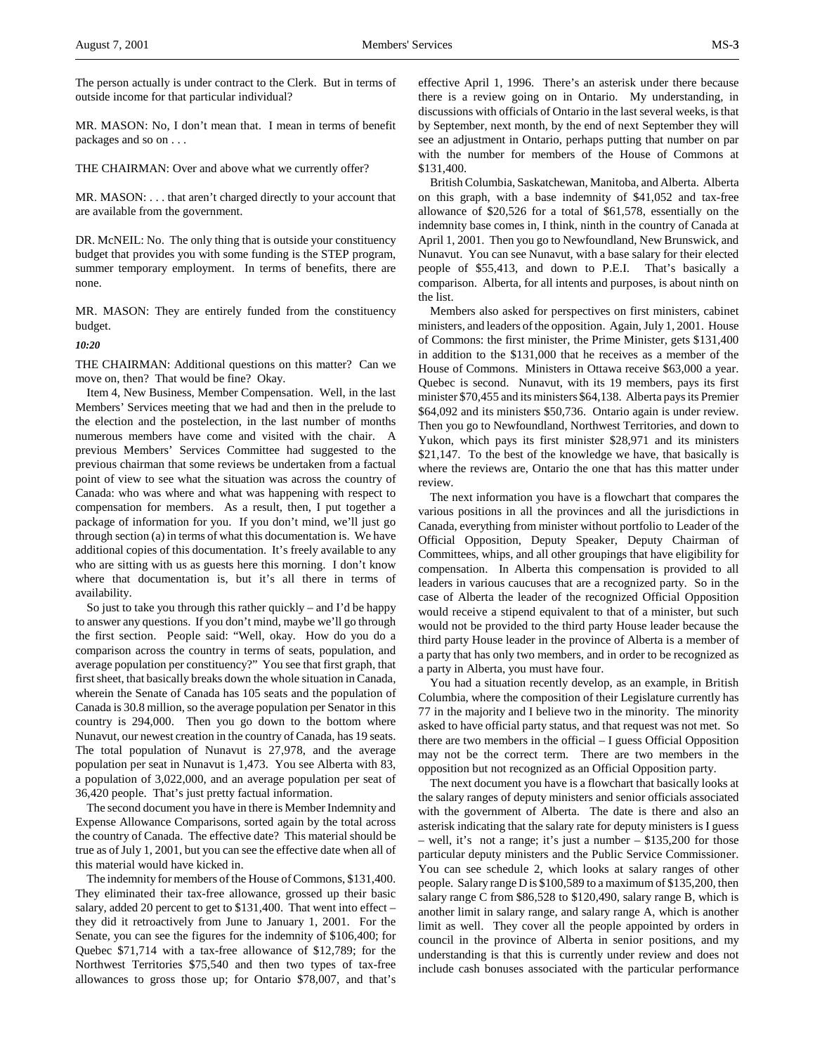MR. MASON: No, I don't mean that. I mean in terms of benefit packages and so on . . .

THE CHAIRMAN: Over and above what we currently offer?

MR. MASON: . . . that aren't charged directly to your account that are available from the government.

DR. McNEIL: No. The only thing that is outside your constituency budget that provides you with some funding is the STEP program, summer temporary employment. In terms of benefits, there are none.

MR. MASON: They are entirely funded from the constituency budget.

*10:20*

THE CHAIRMAN: Additional questions on this matter? Can we move on, then? That would be fine? Okay.

Item 4, New Business, Member Compensation. Well, in the last Members' Services meeting that we had and then in the prelude to the election and the postelection, in the last number of months numerous members have come and visited with the chair. A previous Members' Services Committee had suggested to the previous chairman that some reviews be undertaken from a factual point of view to see what the situation was across the country of Canada: who was where and what was happening with respect to compensation for members. As a result, then, I put together a package of information for you. If you don't mind, we'll just go through section (a) in terms of what this documentation is. We have additional copies of this documentation. It's freely available to any who are sitting with us as guests here this morning. I don't know where that documentation is, but it's all there in terms of availability.

So just to take you through this rather quickly – and I'd be happy to answer any questions. If you don't mind, maybe we'll go through the first section. People said: "Well, okay. How do you do a comparison across the country in terms of seats, population, and average population per constituency?" You see that first graph, that first sheet, that basically breaks down the whole situation in Canada, wherein the Senate of Canada has 105 seats and the population of Canada is 30.8 million, so the average population per Senator in this country is 294,000. Then you go down to the bottom where Nunavut, our newest creation in the country of Canada, has 19 seats. The total population of Nunavut is 27,978, and the average population per seat in Nunavut is 1,473. You see Alberta with 83, a population of 3,022,000, and an average population per seat of 36,420 people. That's just pretty factual information.

The second document you have in there is Member Indemnity and Expense Allowance Comparisons, sorted again by the total across the country of Canada. The effective date? This material should be true as of July 1, 2001, but you can see the effective date when all of this material would have kicked in.

The indemnity for members of the House of Commons, \$131,400. They eliminated their tax-free allowance, grossed up their basic salary, added 20 percent to get to \$131,400. That went into effect – they did it retroactively from June to January 1, 2001. For the Senate, you can see the figures for the indemnity of \$106,400; for Quebec \$71,714 with a tax-free allowance of \$12,789; for the Northwest Territories \$75,540 and then two types of tax-free allowances to gross those up; for Ontario \$78,007, and that's

effective April 1, 1996. There's an asterisk under there because there is a review going on in Ontario. My understanding, in discussions with officials of Ontario in the last several weeks, is that by September, next month, by the end of next September they will see an adjustment in Ontario, perhaps putting that number on par with the number for members of the House of Commons at \$131,400.

British Columbia, Saskatchewan, Manitoba, and Alberta. Alberta on this graph, with a base indemnity of \$41,052 and tax-free allowance of \$20,526 for a total of \$61,578, essentially on the indemnity base comes in, I think, ninth in the country of Canada at April 1, 2001. Then you go to Newfoundland, New Brunswick, and Nunavut. You can see Nunavut, with a base salary for their elected people of \$55,413, and down to P.E.I. That's basically a comparison. Alberta, for all intents and purposes, is about ninth on the list.

Members also asked for perspectives on first ministers, cabinet ministers, and leaders of the opposition. Again, July 1, 2001. House of Commons: the first minister, the Prime Minister, gets \$131,400 in addition to the \$131,000 that he receives as a member of the House of Commons. Ministers in Ottawa receive \$63,000 a year. Quebec is second. Nunavut, with its 19 members, pays its first minister \$70,455 and its ministers \$64,138. Alberta pays its Premier \$64,092 and its ministers \$50,736. Ontario again is under review. Then you go to Newfoundland, Northwest Territories, and down to Yukon, which pays its first minister \$28,971 and its ministers \$21,147. To the best of the knowledge we have, that basically is where the reviews are, Ontario the one that has this matter under review.

The next information you have is a flowchart that compares the various positions in all the provinces and all the jurisdictions in Canada, everything from minister without portfolio to Leader of the Official Opposition, Deputy Speaker, Deputy Chairman of Committees, whips, and all other groupings that have eligibility for compensation. In Alberta this compensation is provided to all leaders in various caucuses that are a recognized party. So in the case of Alberta the leader of the recognized Official Opposition would receive a stipend equivalent to that of a minister, but such would not be provided to the third party House leader because the third party House leader in the province of Alberta is a member of a party that has only two members, and in order to be recognized as a party in Alberta, you must have four.

You had a situation recently develop, as an example, in British Columbia, where the composition of their Legislature currently has 77 in the majority and I believe two in the minority. The minority asked to have official party status, and that request was not met. So there are two members in the official – I guess Official Opposition may not be the correct term. There are two members in the opposition but not recognized as an Official Opposition party.

The next document you have is a flowchart that basically looks at the salary ranges of deputy ministers and senior officials associated with the government of Alberta. The date is there and also an asterisk indicating that the salary rate for deputy ministers is I guess – well, it's not a range; it's just a number – \$135,200 for those particular deputy ministers and the Public Service Commissioner. You can see schedule 2, which looks at salary ranges of other people. Salary range D is \$100,589 to a maximum of \$135,200, then salary range C from \$86,528 to \$120,490, salary range B, which is another limit in salary range, and salary range A, which is another limit as well. They cover all the people appointed by orders in council in the province of Alberta in senior positions, and my understanding is that this is currently under review and does not include cash bonuses associated with the particular performance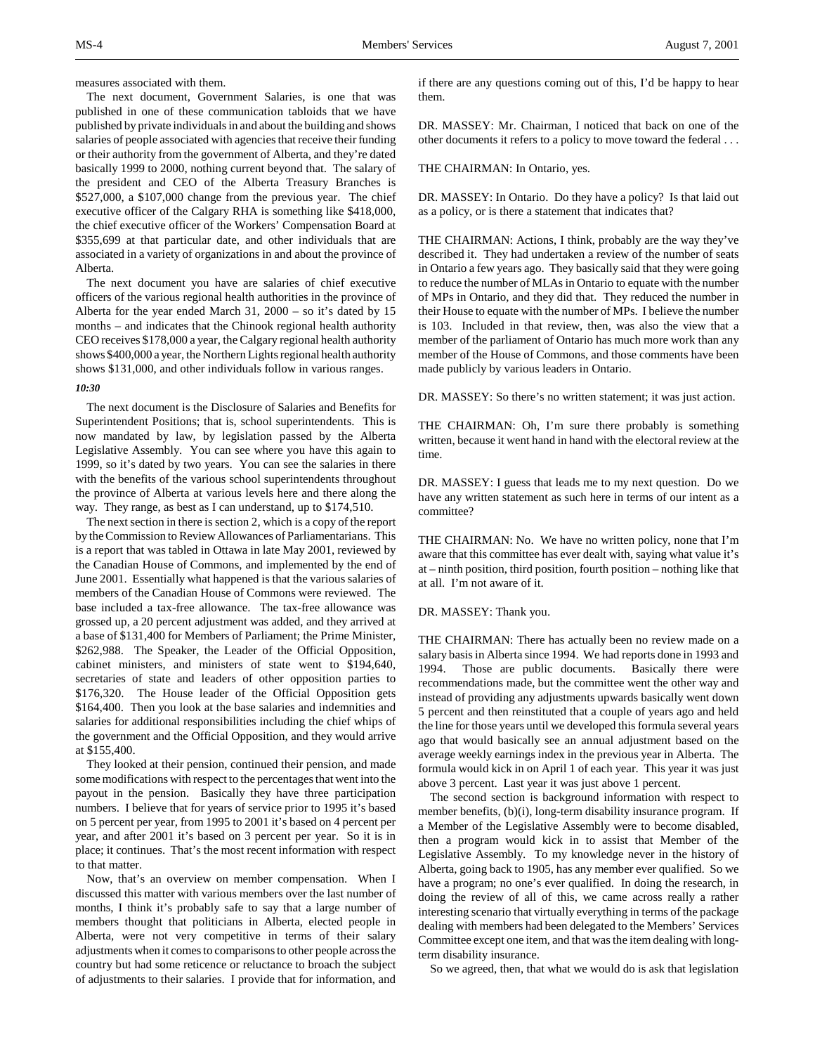measures associated with them.

The next document, Government Salaries, is one that was published in one of these communication tabloids that we have published by private individuals in and about the building and shows salaries of people associated with agencies that receive their funding or their authority from the government of Alberta, and they're dated basically 1999 to 2000, nothing current beyond that. The salary of the president and CEO of the Alberta Treasury Branches is \$527,000, a \$107,000 change from the previous year. The chief executive officer of the Calgary RHA is something like \$418,000, the chief executive officer of the Workers' Compensation Board at \$355,699 at that particular date, and other individuals that are associated in a variety of organizations in and about the province of Alberta.

The next document you have are salaries of chief executive officers of the various regional health authorities in the province of Alberta for the year ended March 31, 2000 – so it's dated by 15 months – and indicates that the Chinook regional health authority CEO receives \$178,000 a year, the Calgary regional health authority shows \$400,000 a year, the Northern Lights regional health authority shows \$131,000, and other individuals follow in various ranges.

### *10:30*

The next document is the Disclosure of Salaries and Benefits for Superintendent Positions; that is, school superintendents. This is now mandated by law, by legislation passed by the Alberta Legislative Assembly. You can see where you have this again to 1999, so it's dated by two years. You can see the salaries in there with the benefits of the various school superintendents throughout the province of Alberta at various levels here and there along the way. They range, as best as I can understand, up to \$174,510.

The next section in there is section 2, which is a copy of the report by the Commission to Review Allowances of Parliamentarians. This is a report that was tabled in Ottawa in late May 2001, reviewed by the Canadian House of Commons, and implemented by the end of June 2001. Essentially what happened is that the various salaries of members of the Canadian House of Commons were reviewed. The base included a tax-free allowance. The tax-free allowance was grossed up, a 20 percent adjustment was added, and they arrived at a base of \$131,400 for Members of Parliament; the Prime Minister, \$262,988. The Speaker, the Leader of the Official Opposition, cabinet ministers, and ministers of state went to \$194,640, secretaries of state and leaders of other opposition parties to \$176,320. The House leader of the Official Opposition gets \$164,400. Then you look at the base salaries and indemnities and salaries for additional responsibilities including the chief whips of the government and the Official Opposition, and they would arrive at \$155,400.

They looked at their pension, continued their pension, and made some modifications with respect to the percentages that went into the payout in the pension. Basically they have three participation numbers. I believe that for years of service prior to 1995 it's based on 5 percent per year, from 1995 to 2001 it's based on 4 percent per year, and after 2001 it's based on 3 percent per year. So it is in place; it continues. That's the most recent information with respect to that matter.

Now, that's an overview on member compensation. When I discussed this matter with various members over the last number of months, I think it's probably safe to say that a large number of members thought that politicians in Alberta, elected people in Alberta, were not very competitive in terms of their salary adjustments when it comes to comparisons to other people across the country but had some reticence or reluctance to broach the subject of adjustments to their salaries. I provide that for information, and

if there are any questions coming out of this, I'd be happy to hear them.

DR. MASSEY: Mr. Chairman, I noticed that back on one of the other documents it refers to a policy to move toward the federal . . .

## THE CHAIRMAN: In Ontario, yes.

DR. MASSEY: In Ontario. Do they have a policy? Is that laid out as a policy, or is there a statement that indicates that?

THE CHAIRMAN: Actions, I think, probably are the way they've described it. They had undertaken a review of the number of seats in Ontario a few years ago. They basically said that they were going to reduce the number of MLAs in Ontario to equate with the number of MPs in Ontario, and they did that. They reduced the number in their House to equate with the number of MPs. I believe the number is 103. Included in that review, then, was also the view that a member of the parliament of Ontario has much more work than any member of the House of Commons, and those comments have been made publicly by various leaders in Ontario.

DR. MASSEY: So there's no written statement; it was just action.

THE CHAIRMAN: Oh, I'm sure there probably is something written, because it went hand in hand with the electoral review at the time.

DR. MASSEY: I guess that leads me to my next question. Do we have any written statement as such here in terms of our intent as a committee?

THE CHAIRMAN: No. We have no written policy, none that I'm aware that this committee has ever dealt with, saying what value it's at – ninth position, third position, fourth position – nothing like that at all. I'm not aware of it.

### DR. MASSEY: Thank you.

THE CHAIRMAN: There has actually been no review made on a salary basis in Alberta since 1994. We had reports done in 1993 and 1994. Those are public documents. Basically there were recommendations made, but the committee went the other way and instead of providing any adjustments upwards basically went down 5 percent and then reinstituted that a couple of years ago and held the line for those years until we developed this formula several years ago that would basically see an annual adjustment based on the average weekly earnings index in the previous year in Alberta. The formula would kick in on April 1 of each year. This year it was just above 3 percent. Last year it was just above 1 percent.

The second section is background information with respect to member benefits, (b)(i), long-term disability insurance program. If a Member of the Legislative Assembly were to become disabled, then a program would kick in to assist that Member of the Legislative Assembly. To my knowledge never in the history of Alberta, going back to 1905, has any member ever qualified. So we have a program; no one's ever qualified. In doing the research, in doing the review of all of this, we came across really a rather interesting scenario that virtually everything in terms of the package dealing with members had been delegated to the Members' Services Committee except one item, and that was the item dealing with longterm disability insurance.

So we agreed, then, that what we would do is ask that legislation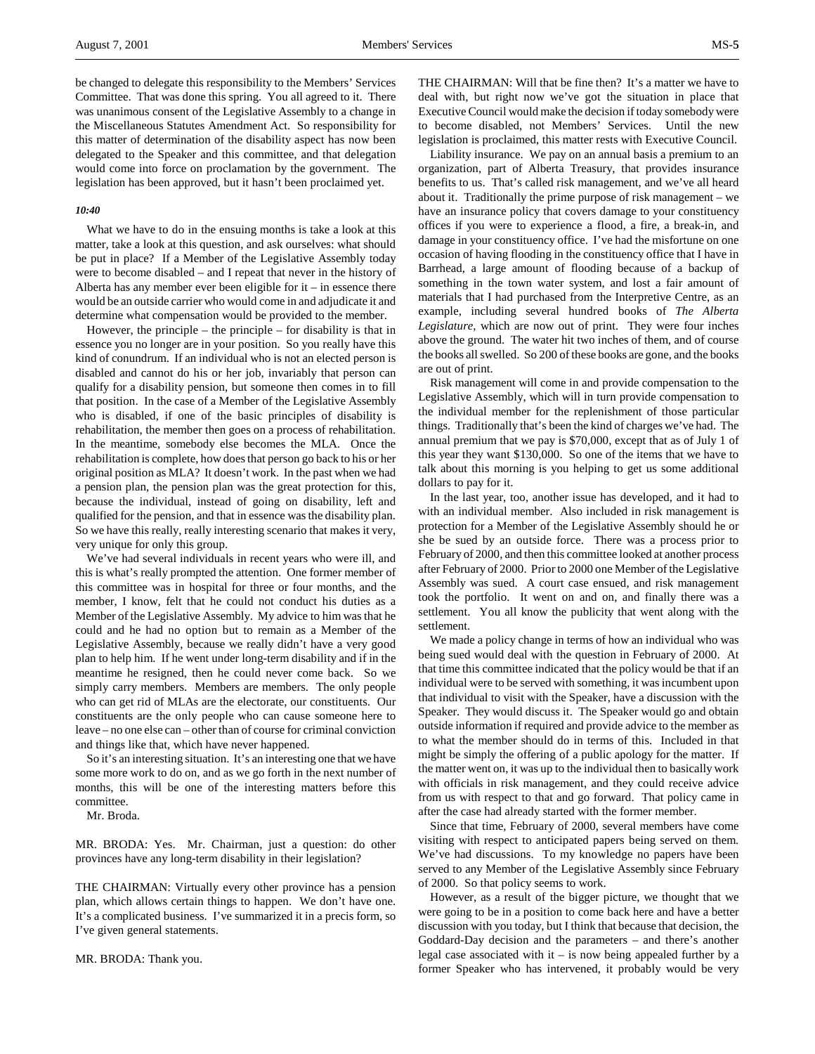be changed to delegate this responsibility to the Members' Services Committee. That was done this spring. You all agreed to it. There was unanimous consent of the Legislative Assembly to a change in the Miscellaneous Statutes Amendment Act. So responsibility for this matter of determination of the disability aspect has now been delegated to the Speaker and this committee, and that delegation would come into force on proclamation by the government. The legislation has been approved, but it hasn't been proclaimed yet.

### *10:40*

What we have to do in the ensuing months is take a look at this matter, take a look at this question, and ask ourselves: what should be put in place? If a Member of the Legislative Assembly today were to become disabled – and I repeat that never in the history of Alberta has any member ever been eligible for  $it - in$  essence there would be an outside carrier who would come in and adjudicate it and determine what compensation would be provided to the member.

However, the principle – the principle – for disability is that in essence you no longer are in your position. So you really have this kind of conundrum. If an individual who is not an elected person is disabled and cannot do his or her job, invariably that person can qualify for a disability pension, but someone then comes in to fill that position. In the case of a Member of the Legislative Assembly who is disabled, if one of the basic principles of disability is rehabilitation, the member then goes on a process of rehabilitation. In the meantime, somebody else becomes the MLA. Once the rehabilitation is complete, how does that person go back to his or her original position as MLA? It doesn't work. In the past when we had a pension plan, the pension plan was the great protection for this, because the individual, instead of going on disability, left and qualified for the pension, and that in essence was the disability plan. So we have this really, really interesting scenario that makes it very, very unique for only this group.

We've had several individuals in recent years who were ill, and this is what's really prompted the attention. One former member of this committee was in hospital for three or four months, and the member, I know, felt that he could not conduct his duties as a Member of the Legislative Assembly. My advice to him was that he could and he had no option but to remain as a Member of the Legislative Assembly, because we really didn't have a very good plan to help him. If he went under long-term disability and if in the meantime he resigned, then he could never come back. So we simply carry members. Members are members. The only people who can get rid of MLAs are the electorate, our constituents. Our constituents are the only people who can cause someone here to leave – no one else can – other than of course for criminal conviction and things like that, which have never happened.

So it's an interesting situation. It's an interesting one that we have some more work to do on, and as we go forth in the next number of months, this will be one of the interesting matters before this committee.

Mr. Broda.

MR. BRODA: Yes. Mr. Chairman, just a question: do other provinces have any long-term disability in their legislation?

THE CHAIRMAN: Virtually every other province has a pension plan, which allows certain things to happen. We don't have one. It's a complicated business. I've summarized it in a precis form, so I've given general statements.

MR. BRODA: Thank you.

THE CHAIRMAN: Will that be fine then? It's a matter we have to deal with, but right now we've got the situation in place that Executive Council would make the decision if today somebody were to become disabled, not Members' Services. Until the new legislation is proclaimed, this matter rests with Executive Council.

Liability insurance. We pay on an annual basis a premium to an organization, part of Alberta Treasury, that provides insurance benefits to us. That's called risk management, and we've all heard about it. Traditionally the prime purpose of risk management – we have an insurance policy that covers damage to your constituency offices if you were to experience a flood, a fire, a break-in, and damage in your constituency office. I've had the misfortune on one occasion of having flooding in the constituency office that I have in Barrhead, a large amount of flooding because of a backup of something in the town water system, and lost a fair amount of materials that I had purchased from the Interpretive Centre, as an example, including several hundred books of *The Alberta Legislature*, which are now out of print. They were four inches above the ground. The water hit two inches of them, and of course the books all swelled. So 200 of these books are gone, and the books are out of print.

Risk management will come in and provide compensation to the Legislative Assembly, which will in turn provide compensation to the individual member for the replenishment of those particular things. Traditionally that's been the kind of charges we've had. The annual premium that we pay is \$70,000, except that as of July 1 of this year they want \$130,000. So one of the items that we have to talk about this morning is you helping to get us some additional dollars to pay for it.

In the last year, too, another issue has developed, and it had to with an individual member. Also included in risk management is protection for a Member of the Legislative Assembly should he or she be sued by an outside force. There was a process prior to February of 2000, and then this committee looked at another process after February of 2000. Prior to 2000 one Member of the Legislative Assembly was sued. A court case ensued, and risk management took the portfolio. It went on and on, and finally there was a settlement. You all know the publicity that went along with the settlement.

We made a policy change in terms of how an individual who was being sued would deal with the question in February of 2000. At that time this committee indicated that the policy would be that if an individual were to be served with something, it was incumbent upon that individual to visit with the Speaker, have a discussion with the Speaker. They would discuss it. The Speaker would go and obtain outside information if required and provide advice to the member as to what the member should do in terms of this. Included in that might be simply the offering of a public apology for the matter. If the matter went on, it was up to the individual then to basically work with officials in risk management, and they could receive advice from us with respect to that and go forward. That policy came in after the case had already started with the former member.

Since that time, February of 2000, several members have come visiting with respect to anticipated papers being served on them. We've had discussions. To my knowledge no papers have been served to any Member of the Legislative Assembly since February of 2000. So that policy seems to work.

However, as a result of the bigger picture, we thought that we were going to be in a position to come back here and have a better discussion with you today, but I think that because that decision, the Goddard-Day decision and the parameters – and there's another legal case associated with it – is now being appealed further by a former Speaker who has intervened, it probably would be very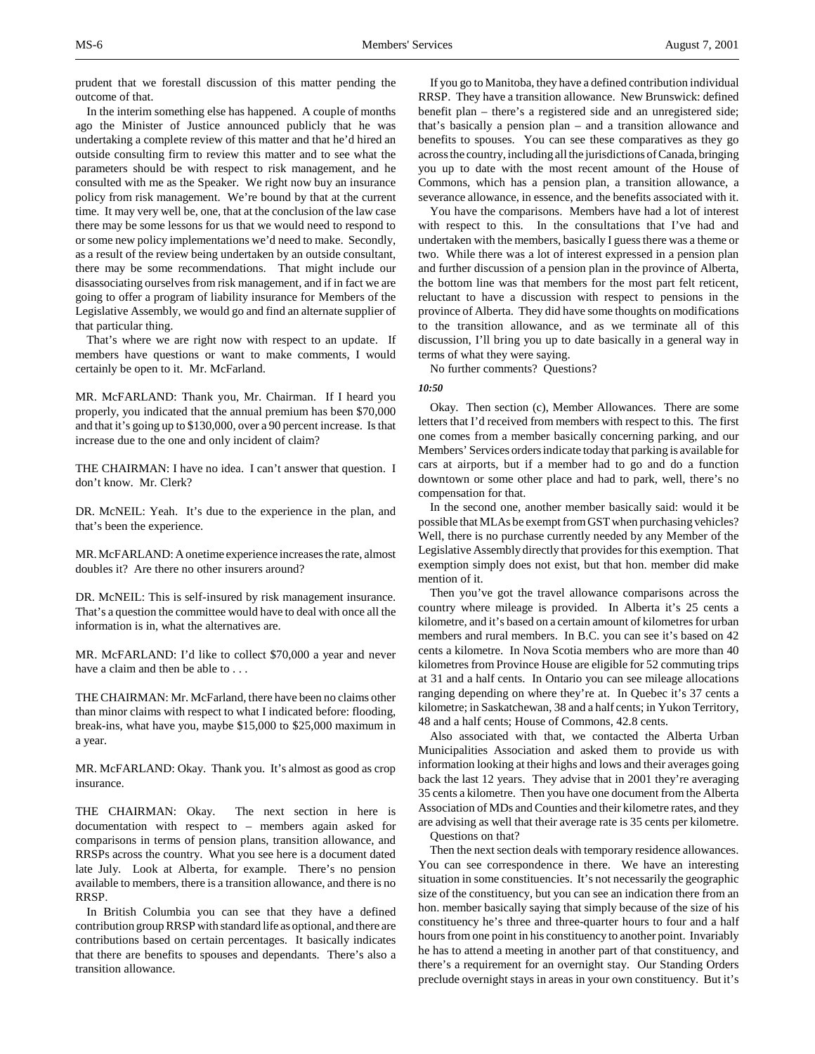prudent that we forestall discussion of this matter pending the outcome of that.

In the interim something else has happened. A couple of months ago the Minister of Justice announced publicly that he was undertaking a complete review of this matter and that he'd hired an outside consulting firm to review this matter and to see what the parameters should be with respect to risk management, and he consulted with me as the Speaker. We right now buy an insurance policy from risk management. We're bound by that at the current time. It may very well be, one, that at the conclusion of the law case there may be some lessons for us that we would need to respond to or some new policy implementations we'd need to make. Secondly, as a result of the review being undertaken by an outside consultant, there may be some recommendations. That might include our disassociating ourselves from risk management, and if in fact we are going to offer a program of liability insurance for Members of the Legislative Assembly, we would go and find an alternate supplier of that particular thing.

That's where we are right now with respect to an update. If members have questions or want to make comments, I would certainly be open to it. Mr. McFarland.

MR. McFARLAND: Thank you, Mr. Chairman. If I heard you properly, you indicated that the annual premium has been \$70,000 and that it's going up to \$130,000, over a 90 percent increase. Is that increase due to the one and only incident of claim?

THE CHAIRMAN: I have no idea. I can't answer that question. I don't know. Mr. Clerk?

DR. McNEIL: Yeah. It's due to the experience in the plan, and that's been the experience.

MR. McFARLAND: A onetime experience increases the rate, almost doubles it? Are there no other insurers around?

DR. McNEIL: This is self-insured by risk management insurance. That's a question the committee would have to deal with once all the information is in, what the alternatives are.

MR. McFARLAND: I'd like to collect \$70,000 a year and never have a claim and then be able to . . .

THE CHAIRMAN: Mr. McFarland, there have been no claims other than minor claims with respect to what I indicated before: flooding, break-ins, what have you, maybe \$15,000 to \$25,000 maximum in a year.

MR. McFARLAND: Okay. Thank you. It's almost as good as crop insurance.

THE CHAIRMAN: Okay. The next section in here is documentation with respect to – members again asked for comparisons in terms of pension plans, transition allowance, and RRSPs across the country. What you see here is a document dated late July. Look at Alberta, for example. There's no pension available to members, there is a transition allowance, and there is no RRSP.

In British Columbia you can see that they have a defined contribution group RRSP with standard life as optional, and there are contributions based on certain percentages. It basically indicates that there are benefits to spouses and dependants. There's also a transition allowance.

If you go to Manitoba, they have a defined contribution individual RRSP. They have a transition allowance. New Brunswick: defined benefit plan – there's a registered side and an unregistered side; that's basically a pension plan – and a transition allowance and benefits to spouses. You can see these comparatives as they go across the country, including all the jurisdictions of Canada, bringing you up to date with the most recent amount of the House of Commons, which has a pension plan, a transition allowance, a severance allowance, in essence, and the benefits associated with it.

You have the comparisons. Members have had a lot of interest with respect to this. In the consultations that I've had and undertaken with the members, basically I guess there was a theme or two. While there was a lot of interest expressed in a pension plan and further discussion of a pension plan in the province of Alberta, the bottom line was that members for the most part felt reticent, reluctant to have a discussion with respect to pensions in the province of Alberta. They did have some thoughts on modifications to the transition allowance, and as we terminate all of this discussion, I'll bring you up to date basically in a general way in terms of what they were saying.

No further comments? Questions?

### *10:50*

Okay. Then section (c), Member Allowances. There are some letters that I'd received from members with respect to this. The first one comes from a member basically concerning parking, and our Members' Services orders indicate today that parking is available for cars at airports, but if a member had to go and do a function downtown or some other place and had to park, well, there's no compensation for that.

In the second one, another member basically said: would it be possible that MLAs be exempt from GST when purchasing vehicles? Well, there is no purchase currently needed by any Member of the Legislative Assembly directly that provides for this exemption. That exemption simply does not exist, but that hon. member did make mention of it.

Then you've got the travel allowance comparisons across the country where mileage is provided. In Alberta it's 25 cents a kilometre, and it's based on a certain amount of kilometres for urban members and rural members. In B.C. you can see it's based on 42 cents a kilometre. In Nova Scotia members who are more than 40 kilometres from Province House are eligible for 52 commuting trips at 31 and a half cents. In Ontario you can see mileage allocations ranging depending on where they're at. In Quebec it's 37 cents a kilometre; in Saskatchewan, 38 and a half cents; in Yukon Territory, 48 and a half cents; House of Commons, 42.8 cents.

Also associated with that, we contacted the Alberta Urban Municipalities Association and asked them to provide us with information looking at their highs and lows and their averages going back the last 12 years. They advise that in 2001 they're averaging 35 cents a kilometre. Then you have one document from the Alberta Association of MDs and Counties and their kilometre rates, and they are advising as well that their average rate is 35 cents per kilometre.

Questions on that?

Then the next section deals with temporary residence allowances. You can see correspondence in there. We have an interesting situation in some constituencies. It's not necessarily the geographic size of the constituency, but you can see an indication there from an hon. member basically saying that simply because of the size of his constituency he's three and three-quarter hours to four and a half hours from one point in his constituency to another point. Invariably he has to attend a meeting in another part of that constituency, and there's a requirement for an overnight stay. Our Standing Orders preclude overnight stays in areas in your own constituency. But it's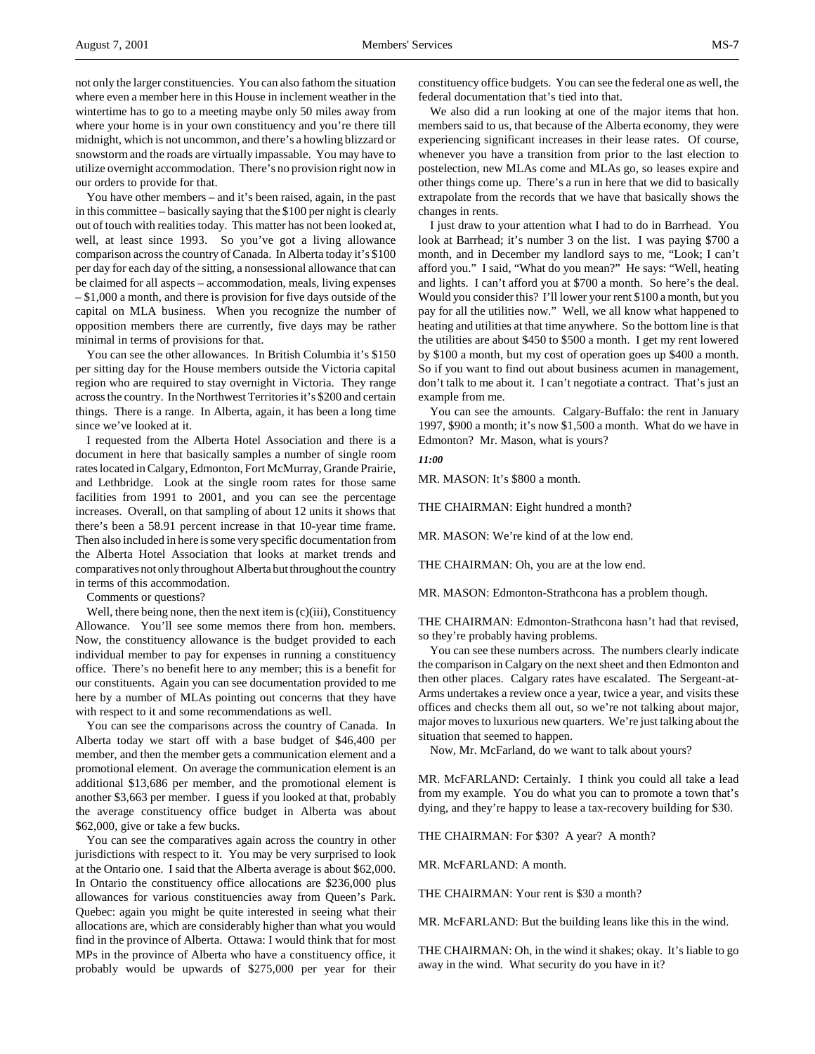not only the larger constituencies. You can also fathom the situation where even a member here in this House in inclement weather in the wintertime has to go to a meeting maybe only 50 miles away from where your home is in your own constituency and you're there till midnight, which is not uncommon, and there's a howling blizzard or snowstorm and the roads are virtually impassable. You may have to utilize overnight accommodation. There's no provision right now in our orders to provide for that.

You have other members – and it's been raised, again, in the past in this committee – basically saying that the \$100 per night is clearly out of touch with realities today. This matter has not been looked at, well, at least since 1993. So you've got a living allowance comparison across the country of Canada. In Alberta today it's \$100 per day for each day of the sitting, a nonsessional allowance that can be claimed for all aspects – accommodation, meals, living expenses – \$1,000 a month, and there is provision for five days outside of the capital on MLA business. When you recognize the number of opposition members there are currently, five days may be rather minimal in terms of provisions for that.

You can see the other allowances. In British Columbia it's \$150 per sitting day for the House members outside the Victoria capital region who are required to stay overnight in Victoria. They range across the country. In the Northwest Territories it's \$200 and certain things. There is a range. In Alberta, again, it has been a long time since we've looked at it.

I requested from the Alberta Hotel Association and there is a document in here that basically samples a number of single room rates located in Calgary, Edmonton, Fort McMurray, Grande Prairie, and Lethbridge. Look at the single room rates for those same facilities from 1991 to 2001, and you can see the percentage increases. Overall, on that sampling of about 12 units it shows that there's been a 58.91 percent increase in that 10-year time frame. Then also included in here is some very specific documentation from the Alberta Hotel Association that looks at market trends and comparatives not only throughout Alberta but throughout the country in terms of this accommodation.

Comments or questions?

Well, there being none, then the next item is (c)(iii), Constituency Allowance. You'll see some memos there from hon. members. Now, the constituency allowance is the budget provided to each individual member to pay for expenses in running a constituency office. There's no benefit here to any member; this is a benefit for our constituents. Again you can see documentation provided to me here by a number of MLAs pointing out concerns that they have with respect to it and some recommendations as well.

You can see the comparisons across the country of Canada. In Alberta today we start off with a base budget of \$46,400 per member, and then the member gets a communication element and a promotional element. On average the communication element is an additional \$13,686 per member, and the promotional element is another \$3,663 per member. I guess if you looked at that, probably the average constituency office budget in Alberta was about \$62,000, give or take a few bucks.

You can see the comparatives again across the country in other jurisdictions with respect to it. You may be very surprised to look at the Ontario one. I said that the Alberta average is about \$62,000. In Ontario the constituency office allocations are \$236,000 plus allowances for various constituencies away from Queen's Park. Quebec: again you might be quite interested in seeing what their allocations are, which are considerably higher than what you would find in the province of Alberta. Ottawa: I would think that for most MPs in the province of Alberta who have a constituency office, it probably would be upwards of \$275,000 per year for their

constituency office budgets. You can see the federal one as well, the federal documentation that's tied into that.

We also did a run looking at one of the major items that hon. members said to us, that because of the Alberta economy, they were experiencing significant increases in their lease rates. Of course, whenever you have a transition from prior to the last election to postelection, new MLAs come and MLAs go, so leases expire and other things come up. There's a run in here that we did to basically extrapolate from the records that we have that basically shows the changes in rents.

I just draw to your attention what I had to do in Barrhead. You look at Barrhead; it's number 3 on the list. I was paying \$700 a month, and in December my landlord says to me, "Look; I can't afford you." I said, "What do you mean?" He says: "Well, heating and lights. I can't afford you at \$700 a month. So here's the deal. Would you consider this? I'll lower your rent \$100 a month, but you pay for all the utilities now." Well, we all know what happened to heating and utilities at that time anywhere. So the bottom line is that the utilities are about \$450 to \$500 a month. I get my rent lowered by \$100 a month, but my cost of operation goes up \$400 a month. So if you want to find out about business acumen in management, don't talk to me about it. I can't negotiate a contract. That's just an example from me.

You can see the amounts. Calgary-Buffalo: the rent in January 1997, \$900 a month; it's now \$1,500 a month. What do we have in Edmonton? Mr. Mason, what is yours?

## *11:00*

MR. MASON: It's \$800 a month.

THE CHAIRMAN: Eight hundred a month?

MR. MASON: We're kind of at the low end.

THE CHAIRMAN: Oh, you are at the low end.

MR. MASON: Edmonton-Strathcona has a problem though.

THE CHAIRMAN: Edmonton-Strathcona hasn't had that revised, so they're probably having problems.

You can see these numbers across. The numbers clearly indicate the comparison in Calgary on the next sheet and then Edmonton and then other places. Calgary rates have escalated. The Sergeant-at-Arms undertakes a review once a year, twice a year, and visits these offices and checks them all out, so we're not talking about major, major moves to luxurious new quarters. We're just talking about the situation that seemed to happen.

Now, Mr. McFarland, do we want to talk about yours?

MR. McFARLAND: Certainly. I think you could all take a lead from my example. You do what you can to promote a town that's dying, and they're happy to lease a tax-recovery building for \$30.

THE CHAIRMAN: For \$30? A year? A month?

MR. McFARLAND: A month.

THE CHAIRMAN: Your rent is \$30 a month?

MR. McFARLAND: But the building leans like this in the wind.

THE CHAIRMAN: Oh, in the wind it shakes; okay. It's liable to go away in the wind. What security do you have in it?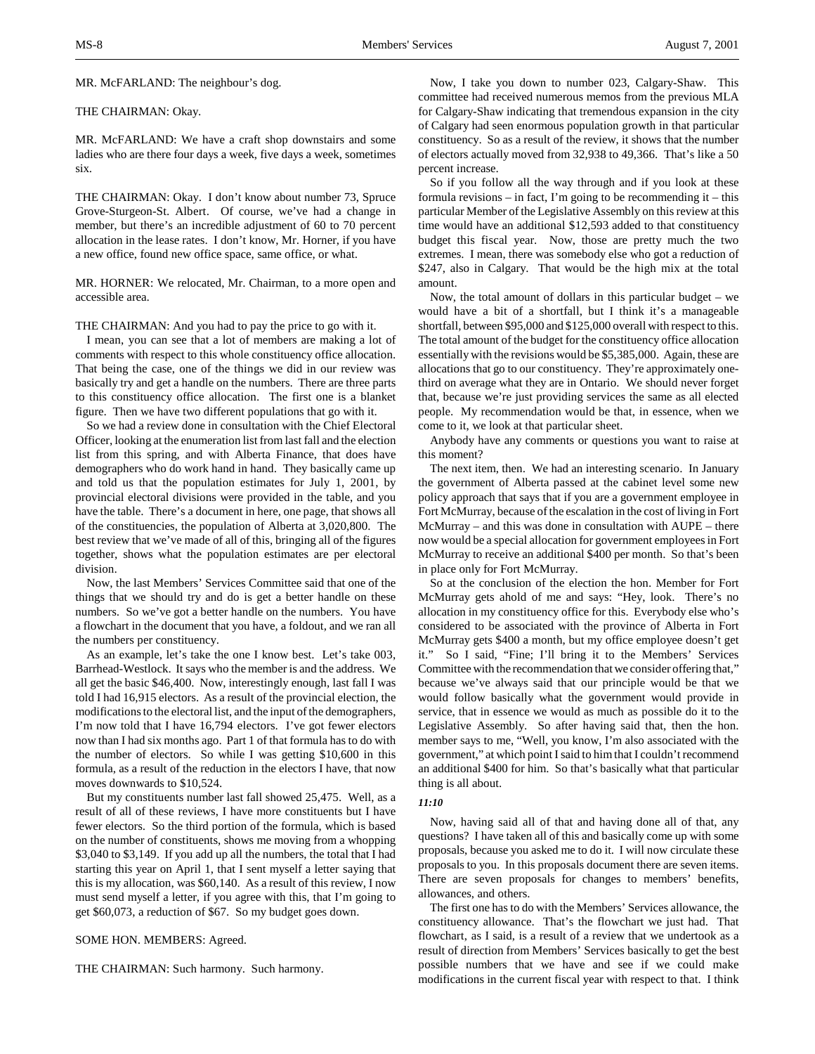MR. McFARLAND: The neighbour's dog.

### THE CHAIRMAN: Okay.

MR. McFARLAND: We have a craft shop downstairs and some ladies who are there four days a week, five days a week, sometimes six.

THE CHAIRMAN: Okay. I don't know about number 73, Spruce Grove-Sturgeon-St. Albert. Of course, we've had a change in member, but there's an incredible adjustment of 60 to 70 percent allocation in the lease rates. I don't know, Mr. Horner, if you have a new office, found new office space, same office, or what.

MR. HORNER: We relocated, Mr. Chairman, to a more open and accessible area.

THE CHAIRMAN: And you had to pay the price to go with it.

I mean, you can see that a lot of members are making a lot of comments with respect to this whole constituency office allocation. That being the case, one of the things we did in our review was basically try and get a handle on the numbers. There are three parts to this constituency office allocation. The first one is a blanket figure. Then we have two different populations that go with it.

So we had a review done in consultation with the Chief Electoral Officer, looking at the enumeration list from last fall and the election list from this spring, and with Alberta Finance, that does have demographers who do work hand in hand. They basically came up and told us that the population estimates for July 1, 2001, by provincial electoral divisions were provided in the table, and you have the table. There's a document in here, one page, that shows all of the constituencies, the population of Alberta at 3,020,800. The best review that we've made of all of this, bringing all of the figures together, shows what the population estimates are per electoral division.

Now, the last Members' Services Committee said that one of the things that we should try and do is get a better handle on these numbers. So we've got a better handle on the numbers. You have a flowchart in the document that you have, a foldout, and we ran all the numbers per constituency.

As an example, let's take the one I know best. Let's take 003, Barrhead-Westlock. It says who the member is and the address. We all get the basic \$46,400. Now, interestingly enough, last fall I was told I had 16,915 electors. As a result of the provincial election, the modifications to the electoral list, and the input of the demographers, I'm now told that I have 16,794 electors. I've got fewer electors now than I had six months ago. Part 1 of that formula has to do with the number of electors. So while I was getting \$10,600 in this formula, as a result of the reduction in the electors I have, that now moves downwards to \$10,524.

But my constituents number last fall showed 25,475. Well, as a result of all of these reviews, I have more constituents but I have fewer electors. So the third portion of the formula, which is based on the number of constituents, shows me moving from a whopping \$3,040 to \$3,149. If you add up all the numbers, the total that I had starting this year on April 1, that I sent myself a letter saying that this is my allocation, was \$60,140. As a result of this review, I now must send myself a letter, if you agree with this, that I'm going to get \$60,073, a reduction of \$67. So my budget goes down.

SOME HON. MEMBERS: Agreed.

THE CHAIRMAN: Such harmony. Such harmony.

Now, I take you down to number 023, Calgary-Shaw. This committee had received numerous memos from the previous MLA for Calgary-Shaw indicating that tremendous expansion in the city of Calgary had seen enormous population growth in that particular constituency. So as a result of the review, it shows that the number of electors actually moved from 32,938 to 49,366. That's like a 50 percent increase.

So if you follow all the way through and if you look at these formula revisions – in fact, I'm going to be recommending it – this particular Member of the Legislative Assembly on this review at this time would have an additional \$12,593 added to that constituency budget this fiscal year. Now, those are pretty much the two extremes. I mean, there was somebody else who got a reduction of \$247, also in Calgary. That would be the high mix at the total amount.

Now, the total amount of dollars in this particular budget – we would have a bit of a shortfall, but I think it's a manageable shortfall, between \$95,000 and \$125,000 overall with respect to this. The total amount of the budget for the constituency office allocation essentially with the revisions would be \$5,385,000. Again, these are allocations that go to our constituency. They're approximately onethird on average what they are in Ontario. We should never forget that, because we're just providing services the same as all elected people. My recommendation would be that, in essence, when we come to it, we look at that particular sheet.

Anybody have any comments or questions you want to raise at this moment?

The next item, then. We had an interesting scenario. In January the government of Alberta passed at the cabinet level some new policy approach that says that if you are a government employee in Fort McMurray, because of the escalation in the cost of living in Fort McMurray – and this was done in consultation with AUPE – there now would be a special allocation for government employees in Fort McMurray to receive an additional \$400 per month. So that's been in place only for Fort McMurray.

So at the conclusion of the election the hon. Member for Fort McMurray gets ahold of me and says: "Hey, look. There's no allocation in my constituency office for this. Everybody else who's considered to be associated with the province of Alberta in Fort McMurray gets \$400 a month, but my office employee doesn't get it." So I said, "Fine; I'll bring it to the Members' Services Committee with the recommendation that we consider offering that," because we've always said that our principle would be that we would follow basically what the government would provide in service, that in essence we would as much as possible do it to the Legislative Assembly. So after having said that, then the hon. member says to me, "Well, you know, I'm also associated with the government," at which point I said to him that I couldn't recommend an additional \$400 for him. So that's basically what that particular thing is all about.

#### *11:10*

Now, having said all of that and having done all of that, any questions? I have taken all of this and basically come up with some proposals, because you asked me to do it. I will now circulate these proposals to you. In this proposals document there are seven items. There are seven proposals for changes to members' benefits, allowances, and others.

The first one has to do with the Members' Services allowance, the constituency allowance. That's the flowchart we just had. That flowchart, as I said, is a result of a review that we undertook as a result of direction from Members' Services basically to get the best possible numbers that we have and see if we could make modifications in the current fiscal year with respect to that. I think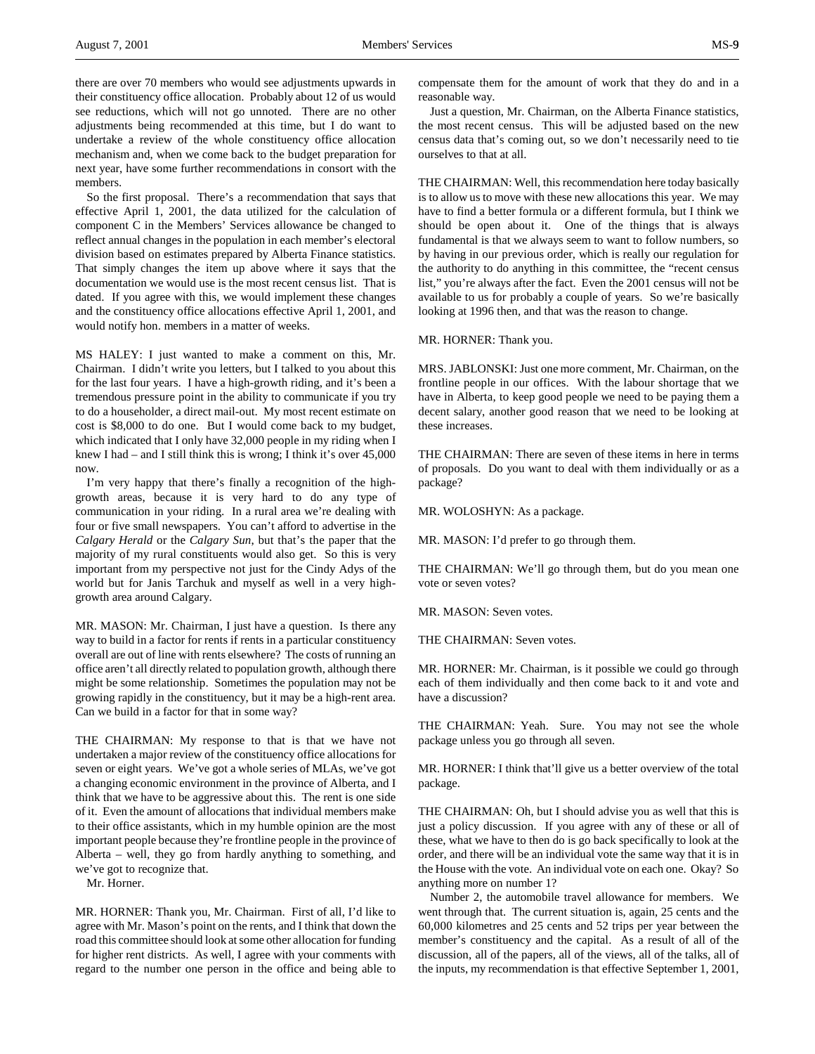there are over 70 members who would see adjustments upwards in their constituency office allocation. Probably about 12 of us would see reductions, which will not go unnoted. There are no other adjustments being recommended at this time, but I do want to undertake a review of the whole constituency office allocation mechanism and, when we come back to the budget preparation for next year, have some further recommendations in consort with the members.

So the first proposal. There's a recommendation that says that effective April 1, 2001, the data utilized for the calculation of component C in the Members' Services allowance be changed to reflect annual changes in the population in each member's electoral division based on estimates prepared by Alberta Finance statistics. That simply changes the item up above where it says that the documentation we would use is the most recent census list. That is dated. If you agree with this, we would implement these changes and the constituency office allocations effective April 1, 2001, and would notify hon. members in a matter of weeks.

MS HALEY: I just wanted to make a comment on this, Mr. Chairman. I didn't write you letters, but I talked to you about this for the last four years. I have a high-growth riding, and it's been a tremendous pressure point in the ability to communicate if you try to do a householder, a direct mail-out. My most recent estimate on cost is \$8,000 to do one. But I would come back to my budget, which indicated that I only have 32,000 people in my riding when I knew I had – and I still think this is wrong; I think it's over 45,000 now.

I'm very happy that there's finally a recognition of the highgrowth areas, because it is very hard to do any type of communication in your riding. In a rural area we're dealing with four or five small newspapers. You can't afford to advertise in the *Calgary Herald* or the *Calgary Sun*, but that's the paper that the majority of my rural constituents would also get. So this is very important from my perspective not just for the Cindy Adys of the world but for Janis Tarchuk and myself as well in a very highgrowth area around Calgary.

MR. MASON: Mr. Chairman, I just have a question. Is there any way to build in a factor for rents if rents in a particular constituency overall are out of line with rents elsewhere? The costs of running an office aren't all directly related to population growth, although there might be some relationship. Sometimes the population may not be growing rapidly in the constituency, but it may be a high-rent area. Can we build in a factor for that in some way?

THE CHAIRMAN: My response to that is that we have not undertaken a major review of the constituency office allocations for seven or eight years. We've got a whole series of MLAs, we've got a changing economic environment in the province of Alberta, and I think that we have to be aggressive about this. The rent is one side of it. Even the amount of allocations that individual members make to their office assistants, which in my humble opinion are the most important people because they're frontline people in the province of Alberta – well, they go from hardly anything to something, and we've got to recognize that.

Mr. Horner.

MR. HORNER: Thank you, Mr. Chairman. First of all, I'd like to agree with Mr. Mason's point on the rents, and I think that down the road this committee should look at some other allocation for funding for higher rent districts. As well, I agree with your comments with regard to the number one person in the office and being able to

compensate them for the amount of work that they do and in a reasonable way.

Just a question, Mr. Chairman, on the Alberta Finance statistics, the most recent census. This will be adjusted based on the new census data that's coming out, so we don't necessarily need to tie ourselves to that at all.

THE CHAIRMAN: Well, this recommendation here today basically is to allow us to move with these new allocations this year. We may have to find a better formula or a different formula, but I think we should be open about it. One of the things that is always fundamental is that we always seem to want to follow numbers, so by having in our previous order, which is really our regulation for the authority to do anything in this committee, the "recent census list," you're always after the fact. Even the 2001 census will not be available to us for probably a couple of years. So we're basically looking at 1996 then, and that was the reason to change.

MR. HORNER: Thank you.

MRS. JABLONSKI: Just one more comment, Mr. Chairman, on the frontline people in our offices. With the labour shortage that we have in Alberta, to keep good people we need to be paying them a decent salary, another good reason that we need to be looking at these increases.

THE CHAIRMAN: There are seven of these items in here in terms of proposals. Do you want to deal with them individually or as a package?

MR. WOLOSHYN: As a package.

MR. MASON: I'd prefer to go through them.

THE CHAIRMAN: We'll go through them, but do you mean one vote or seven votes?

MR. MASON: Seven votes.

THE CHAIRMAN: Seven votes.

MR. HORNER: Mr. Chairman, is it possible we could go through each of them individually and then come back to it and vote and have a discussion?

THE CHAIRMAN: Yeah. Sure. You may not see the whole package unless you go through all seven.

MR. HORNER: I think that'll give us a better overview of the total package.

THE CHAIRMAN: Oh, but I should advise you as well that this is just a policy discussion. If you agree with any of these or all of these, what we have to then do is go back specifically to look at the order, and there will be an individual vote the same way that it is in the House with the vote. An individual vote on each one. Okay? So anything more on number 1?

Number 2, the automobile travel allowance for members. We went through that. The current situation is, again, 25 cents and the 60,000 kilometres and 25 cents and 52 trips per year between the member's constituency and the capital. As a result of all of the discussion, all of the papers, all of the views, all of the talks, all of the inputs, my recommendation is that effective September 1, 2001,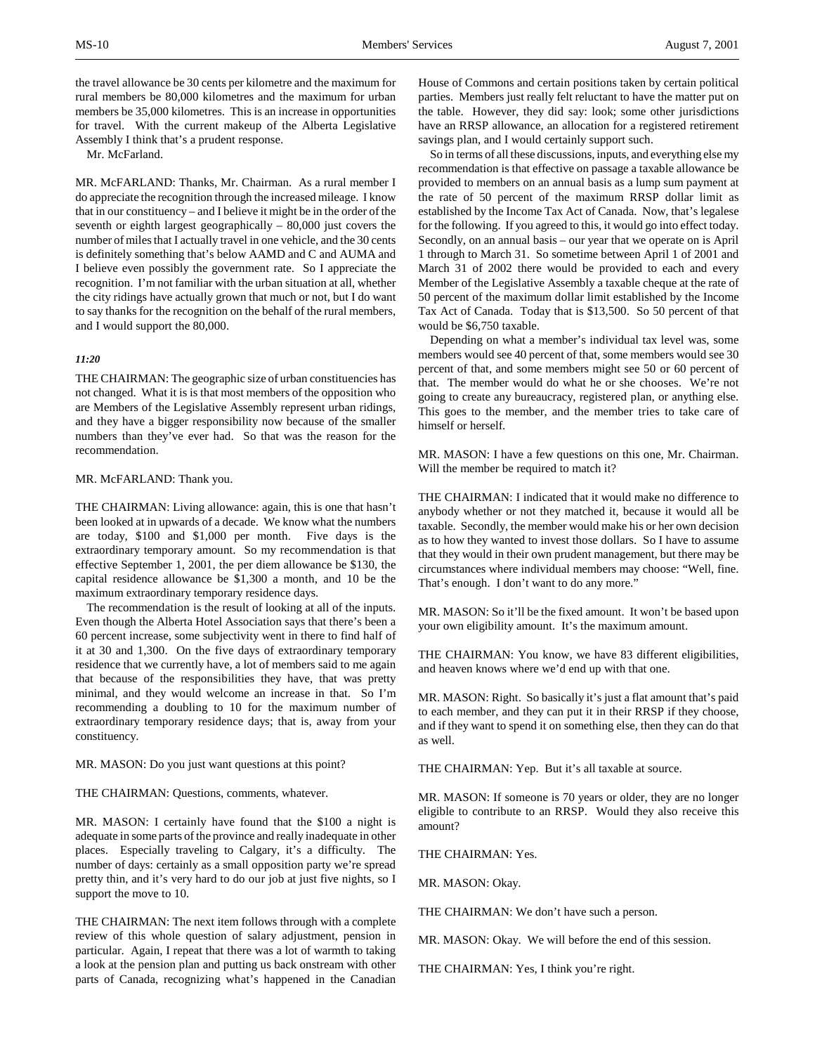the travel allowance be 30 cents per kilometre and the maximum for rural members be 80,000 kilometres and the maximum for urban members be 35,000 kilometres. This is an increase in opportunities for travel. With the current makeup of the Alberta Legislative Assembly I think that's a prudent response.

Mr. McFarland.

MR. McFARLAND: Thanks, Mr. Chairman. As a rural member I do appreciate the recognition through the increased mileage. I know that in our constituency – and I believe it might be in the order of the seventh or eighth largest geographically – 80,000 just covers the number of miles that I actually travel in one vehicle, and the 30 cents is definitely something that's below AAMD and C and AUMA and I believe even possibly the government rate. So I appreciate the recognition. I'm not familiar with the urban situation at all, whether the city ridings have actually grown that much or not, but I do want to say thanks for the recognition on the behalf of the rural members, and I would support the 80,000.

## *11:20*

THE CHAIRMAN: The geographic size of urban constituencies has not changed. What it is is that most members of the opposition who are Members of the Legislative Assembly represent urban ridings, and they have a bigger responsibility now because of the smaller numbers than they've ever had. So that was the reason for the recommendation.

## MR. McFARLAND: Thank you.

THE CHAIRMAN: Living allowance: again, this is one that hasn't been looked at in upwards of a decade. We know what the numbers are today, \$100 and \$1,000 per month. Five days is the extraordinary temporary amount. So my recommendation is that effective September 1, 2001, the per diem allowance be \$130, the capital residence allowance be \$1,300 a month, and 10 be the maximum extraordinary temporary residence days.

The recommendation is the result of looking at all of the inputs. Even though the Alberta Hotel Association says that there's been a 60 percent increase, some subjectivity went in there to find half of it at 30 and 1,300. On the five days of extraordinary temporary residence that we currently have, a lot of members said to me again that because of the responsibilities they have, that was pretty minimal, and they would welcome an increase in that. So I'm recommending a doubling to 10 for the maximum number of extraordinary temporary residence days; that is, away from your constituency.

MR. MASON: Do you just want questions at this point?

THE CHAIRMAN: Questions, comments, whatever.

MR. MASON: I certainly have found that the \$100 a night is adequate in some parts of the province and really inadequate in other places. Especially traveling to Calgary, it's a difficulty. The number of days: certainly as a small opposition party we're spread pretty thin, and it's very hard to do our job at just five nights, so I support the move to 10.

THE CHAIRMAN: The next item follows through with a complete review of this whole question of salary adjustment, pension in particular. Again, I repeat that there was a lot of warmth to taking a look at the pension plan and putting us back onstream with other parts of Canada, recognizing what's happened in the Canadian

House of Commons and certain positions taken by certain political parties. Members just really felt reluctant to have the matter put on the table. However, they did say: look; some other jurisdictions have an RRSP allowance, an allocation for a registered retirement savings plan, and I would certainly support such.

So in terms of all these discussions, inputs, and everything else my recommendation is that effective on passage a taxable allowance be provided to members on an annual basis as a lump sum payment at the rate of 50 percent of the maximum RRSP dollar limit as established by the Income Tax Act of Canada. Now, that's legalese for the following. If you agreed to this, it would go into effect today. Secondly, on an annual basis – our year that we operate on is April 1 through to March 31. So sometime between April 1 of 2001 and March 31 of 2002 there would be provided to each and every Member of the Legislative Assembly a taxable cheque at the rate of 50 percent of the maximum dollar limit established by the Income Tax Act of Canada. Today that is \$13,500. So 50 percent of that would be \$6,750 taxable.

Depending on what a member's individual tax level was, some members would see 40 percent of that, some members would see 30 percent of that, and some members might see 50 or 60 percent of that. The member would do what he or she chooses. We're not going to create any bureaucracy, registered plan, or anything else. This goes to the member, and the member tries to take care of himself or herself.

MR. MASON: I have a few questions on this one, Mr. Chairman. Will the member be required to match it?

THE CHAIRMAN: I indicated that it would make no difference to anybody whether or not they matched it, because it would all be taxable. Secondly, the member would make his or her own decision as to how they wanted to invest those dollars. So I have to assume that they would in their own prudent management, but there may be circumstances where individual members may choose: "Well, fine. That's enough. I don't want to do any more."

MR. MASON: So it'll be the fixed amount. It won't be based upon your own eligibility amount. It's the maximum amount.

THE CHAIRMAN: You know, we have 83 different eligibilities, and heaven knows where we'd end up with that one.

MR. MASON: Right. So basically it's just a flat amount that's paid to each member, and they can put it in their RRSP if they choose, and if they want to spend it on something else, then they can do that as well.

THE CHAIRMAN: Yep. But it's all taxable at source.

MR. MASON: If someone is 70 years or older, they are no longer eligible to contribute to an RRSP. Would they also receive this amount?

THE CHAIRMAN: Yes.

MR. MASON: Okay.

THE CHAIRMAN: We don't have such a person.

MR. MASON: Okay. We will before the end of this session.

THE CHAIRMAN: Yes, I think you're right.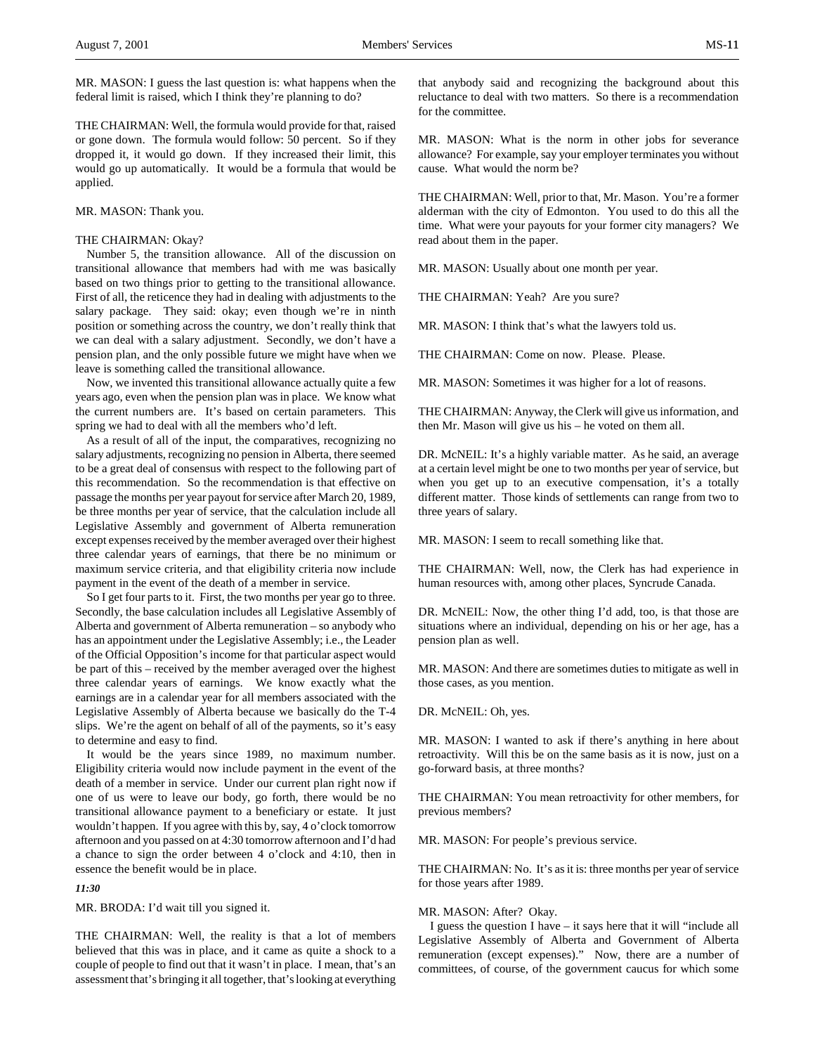MR. MASON: I guess the last question is: what happens when the federal limit is raised, which I think they're planning to do?

THE CHAIRMAN: Well, the formula would provide for that, raised or gone down. The formula would follow: 50 percent. So if they dropped it, it would go down. If they increased their limit, this would go up automatically. It would be a formula that would be applied.

### MR. MASON: Thank you.

## THE CHAIRMAN: Okay?

Number 5, the transition allowance. All of the discussion on transitional allowance that members had with me was basically based on two things prior to getting to the transitional allowance. First of all, the reticence they had in dealing with adjustments to the salary package. They said: okay; even though we're in ninth position or something across the country, we don't really think that we can deal with a salary adjustment. Secondly, we don't have a pension plan, and the only possible future we might have when we leave is something called the transitional allowance.

Now, we invented this transitional allowance actually quite a few years ago, even when the pension plan was in place. We know what the current numbers are. It's based on certain parameters. This spring we had to deal with all the members who'd left.

As a result of all of the input, the comparatives, recognizing no salary adjustments, recognizing no pension in Alberta, there seemed to be a great deal of consensus with respect to the following part of this recommendation. So the recommendation is that effective on passage the months per year payout for service after March 20, 1989, be three months per year of service, that the calculation include all Legislative Assembly and government of Alberta remuneration except expenses received by the member averaged over their highest three calendar years of earnings, that there be no minimum or maximum service criteria, and that eligibility criteria now include payment in the event of the death of a member in service.

So I get four parts to it. First, the two months per year go to three. Secondly, the base calculation includes all Legislative Assembly of Alberta and government of Alberta remuneration – so anybody who has an appointment under the Legislative Assembly; i.e., the Leader of the Official Opposition's income for that particular aspect would be part of this – received by the member averaged over the highest three calendar years of earnings. We know exactly what the earnings are in a calendar year for all members associated with the Legislative Assembly of Alberta because we basically do the T-4 slips. We're the agent on behalf of all of the payments, so it's easy to determine and easy to find.

It would be the years since 1989, no maximum number. Eligibility criteria would now include payment in the event of the death of a member in service. Under our current plan right now if one of us were to leave our body, go forth, there would be no transitional allowance payment to a beneficiary or estate. It just wouldn't happen. If you agree with this by, say, 4 o'clock tomorrow afternoon and you passed on at 4:30 tomorrow afternoon and I'd had a chance to sign the order between 4 o'clock and 4:10, then in essence the benefit would be in place.

#### *11:30*

MR. BRODA: I'd wait till you signed it.

THE CHAIRMAN: Well, the reality is that a lot of members believed that this was in place, and it came as quite a shock to a couple of people to find out that it wasn't in place. I mean, that's an assessment that's bringing it all together, that's looking at everything

that anybody said and recognizing the background about this reluctance to deal with two matters. So there is a recommendation for the committee.

MR. MASON: What is the norm in other jobs for severance allowance? For example, say your employer terminates you without cause. What would the norm be?

THE CHAIRMAN: Well, prior to that, Mr. Mason. You're a former alderman with the city of Edmonton. You used to do this all the time. What were your payouts for your former city managers? We read about them in the paper.

MR. MASON: Usually about one month per year.

THE CHAIRMAN: Yeah? Are you sure?

MR. MASON: I think that's what the lawyers told us.

THE CHAIRMAN: Come on now. Please. Please.

MR. MASON: Sometimes it was higher for a lot of reasons.

THE CHAIRMAN: Anyway, the Clerk will give us information, and then Mr. Mason will give us his – he voted on them all.

DR. McNEIL: It's a highly variable matter. As he said, an average at a certain level might be one to two months per year of service, but when you get up to an executive compensation, it's a totally different matter. Those kinds of settlements can range from two to three years of salary.

MR. MASON: I seem to recall something like that.

THE CHAIRMAN: Well, now, the Clerk has had experience in human resources with, among other places, Syncrude Canada.

DR. McNEIL: Now, the other thing I'd add, too, is that those are situations where an individual, depending on his or her age, has a pension plan as well.

MR. MASON: And there are sometimes duties to mitigate as well in those cases, as you mention.

DR. McNEIL: Oh, yes.

MR. MASON: I wanted to ask if there's anything in here about retroactivity. Will this be on the same basis as it is now, just on a go-forward basis, at three months?

THE CHAIRMAN: You mean retroactivity for other members, for previous members?

MR. MASON: For people's previous service.

THE CHAIRMAN: No. It's as it is: three months per year of service for those years after 1989.

#### MR. MASON: After? Okay.

I guess the question I have – it says here that it will "include all Legislative Assembly of Alberta and Government of Alberta remuneration (except expenses)." Now, there are a number of committees, of course, of the government caucus for which some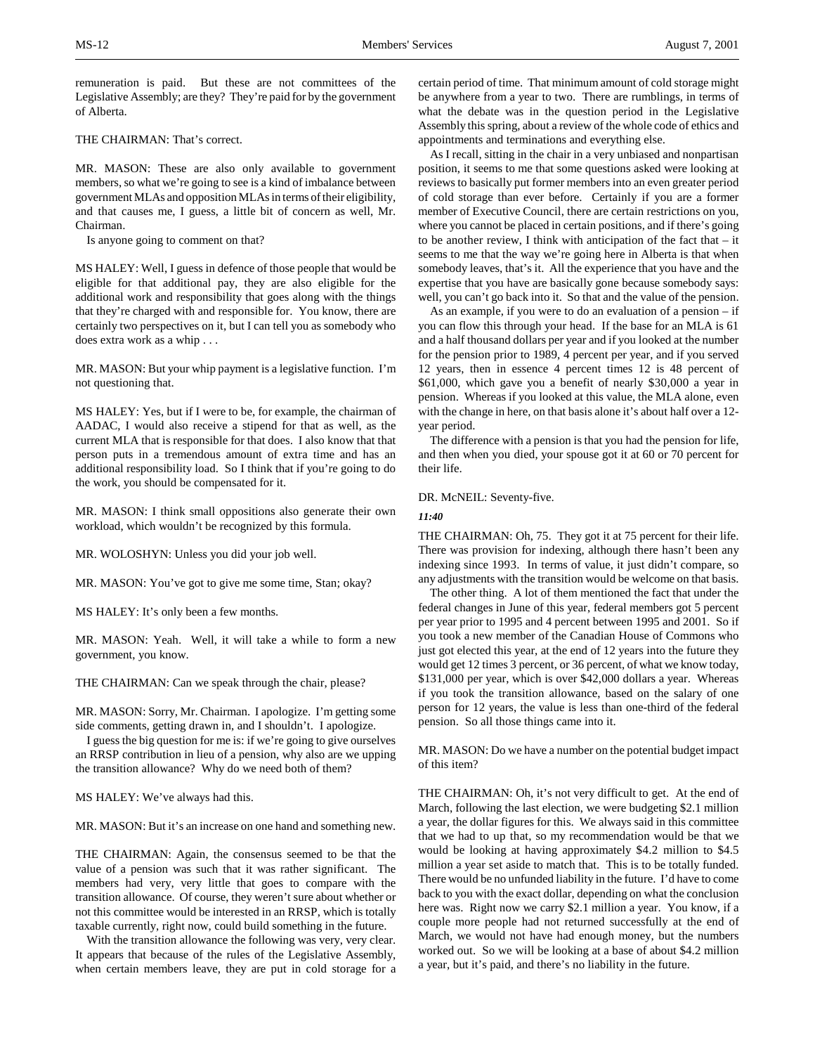remuneration is paid. But these are not committees of the Legislative Assembly; are they? They're paid for by the government of Alberta.

THE CHAIRMAN: That's correct.

MR. MASON: These are also only available to government members, so what we're going to see is a kind of imbalance between government MLAs and opposition MLAs in terms of their eligibility, and that causes me, I guess, a little bit of concern as well, Mr. Chairman.

Is anyone going to comment on that?

MS HALEY: Well, I guess in defence of those people that would be eligible for that additional pay, they are also eligible for the additional work and responsibility that goes along with the things that they're charged with and responsible for. You know, there are certainly two perspectives on it, but I can tell you as somebody who does extra work as a whip . . .

MR. MASON: But your whip payment is a legislative function. I'm not questioning that.

MS HALEY: Yes, but if I were to be, for example, the chairman of AADAC, I would also receive a stipend for that as well, as the current MLA that is responsible for that does. I also know that that person puts in a tremendous amount of extra time and has an additional responsibility load. So I think that if you're going to do the work, you should be compensated for it.

MR. MASON: I think small oppositions also generate their own workload, which wouldn't be recognized by this formula.

MR. WOLOSHYN: Unless you did your job well.

MR. MASON: You've got to give me some time, Stan; okay?

MS HALEY: It's only been a few months.

MR. MASON: Yeah. Well, it will take a while to form a new government, you know.

THE CHAIRMAN: Can we speak through the chair, please?

MR. MASON: Sorry, Mr. Chairman. I apologize. I'm getting some side comments, getting drawn in, and I shouldn't. I apologize.

I guess the big question for me is: if we're going to give ourselves an RRSP contribution in lieu of a pension, why also are we upping the transition allowance? Why do we need both of them?

MS HALEY: We've always had this.

MR. MASON: But it's an increase on one hand and something new.

THE CHAIRMAN: Again, the consensus seemed to be that the value of a pension was such that it was rather significant. The members had very, very little that goes to compare with the transition allowance. Of course, they weren't sure about whether or not this committee would be interested in an RRSP, which is totally taxable currently, right now, could build something in the future.

With the transition allowance the following was very, very clear. It appears that because of the rules of the Legislative Assembly, when certain members leave, they are put in cold storage for a certain period of time. That minimum amount of cold storage might be anywhere from a year to two. There are rumblings, in terms of what the debate was in the question period in the Legislative Assembly this spring, about a review of the whole code of ethics and appointments and terminations and everything else.

As I recall, sitting in the chair in a very unbiased and nonpartisan position, it seems to me that some questions asked were looking at reviews to basically put former members into an even greater period of cold storage than ever before. Certainly if you are a former member of Executive Council, there are certain restrictions on you, where you cannot be placed in certain positions, and if there's going to be another review, I think with anticipation of the fact that – it seems to me that the way we're going here in Alberta is that when somebody leaves, that's it. All the experience that you have and the expertise that you have are basically gone because somebody says: well, you can't go back into it. So that and the value of the pension.

As an example, if you were to do an evaluation of a pension – if you can flow this through your head. If the base for an MLA is 61 and a half thousand dollars per year and if you looked at the number for the pension prior to 1989, 4 percent per year, and if you served 12 years, then in essence 4 percent times 12 is 48 percent of \$61,000, which gave you a benefit of nearly \$30,000 a year in pension. Whereas if you looked at this value, the MLA alone, even with the change in here, on that basis alone it's about half over a 12 year period.

The difference with a pension is that you had the pension for life, and then when you died, your spouse got it at 60 or 70 percent for their life.

DR. McNEIL: Seventy-five.

## *11:40*

THE CHAIRMAN: Oh, 75. They got it at 75 percent for their life. There was provision for indexing, although there hasn't been any indexing since 1993. In terms of value, it just didn't compare, so any adjustments with the transition would be welcome on that basis.

The other thing. A lot of them mentioned the fact that under the federal changes in June of this year, federal members got 5 percent per year prior to 1995 and 4 percent between 1995 and 2001. So if you took a new member of the Canadian House of Commons who just got elected this year, at the end of 12 years into the future they would get 12 times 3 percent, or 36 percent, of what we know today, \$131,000 per year, which is over \$42,000 dollars a year. Whereas if you took the transition allowance, based on the salary of one person for 12 years, the value is less than one-third of the federal pension. So all those things came into it.

MR. MASON: Do we have a number on the potential budget impact of this item?

THE CHAIRMAN: Oh, it's not very difficult to get. At the end of March, following the last election, we were budgeting \$2.1 million a year, the dollar figures for this. We always said in this committee that we had to up that, so my recommendation would be that we would be looking at having approximately \$4.2 million to \$4.5 million a year set aside to match that. This is to be totally funded. There would be no unfunded liability in the future. I'd have to come back to you with the exact dollar, depending on what the conclusion here was. Right now we carry \$2.1 million a year. You know, if a couple more people had not returned successfully at the end of March, we would not have had enough money, but the numbers worked out. So we will be looking at a base of about \$4.2 million a year, but it's paid, and there's no liability in the future.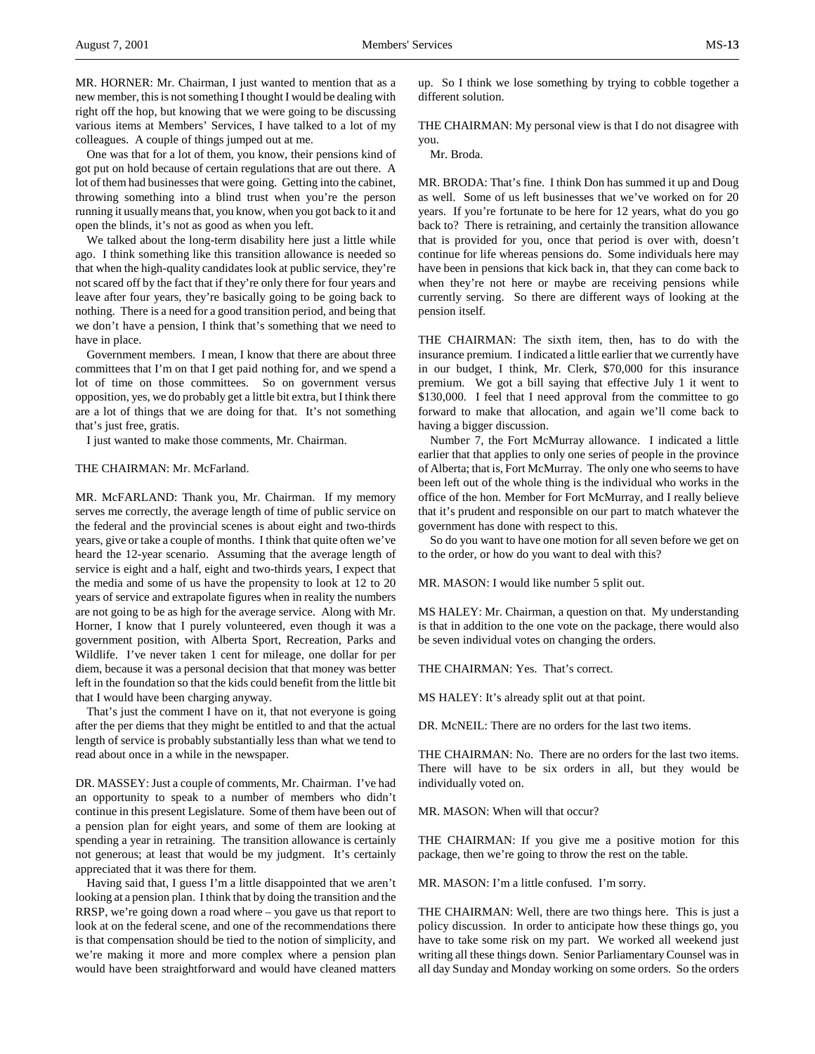MR. HORNER: Mr. Chairman, I just wanted to mention that as a new member, this is not something I thought I would be dealing with right off the hop, but knowing that we were going to be discussing various items at Members' Services, I have talked to a lot of my colleagues. A couple of things jumped out at me.

One was that for a lot of them, you know, their pensions kind of got put on hold because of certain regulations that are out there. A lot of them had businesses that were going. Getting into the cabinet, throwing something into a blind trust when you're the person running it usually means that, you know, when you got back to it and open the blinds, it's not as good as when you left.

We talked about the long-term disability here just a little while ago. I think something like this transition allowance is needed so that when the high-quality candidates look at public service, they're not scared off by the fact that if they're only there for four years and leave after four years, they're basically going to be going back to nothing. There is a need for a good transition period, and being that we don't have a pension, I think that's something that we need to have in place.

Government members. I mean, I know that there are about three committees that I'm on that I get paid nothing for, and we spend a lot of time on those committees. So on government versus opposition, yes, we do probably get a little bit extra, but I think there are a lot of things that we are doing for that. It's not something that's just free, gratis.

I just wanted to make those comments, Mr. Chairman.

## THE CHAIRMAN: Mr. McFarland.

MR. McFARLAND: Thank you, Mr. Chairman. If my memory serves me correctly, the average length of time of public service on the federal and the provincial scenes is about eight and two-thirds years, give or take a couple of months. I think that quite often we've heard the 12-year scenario. Assuming that the average length of service is eight and a half, eight and two-thirds years, I expect that the media and some of us have the propensity to look at 12 to 20 years of service and extrapolate figures when in reality the numbers are not going to be as high for the average service. Along with Mr. Horner, I know that I purely volunteered, even though it was a government position, with Alberta Sport, Recreation, Parks and Wildlife. I've never taken 1 cent for mileage, one dollar for per diem, because it was a personal decision that that money was better left in the foundation so that the kids could benefit from the little bit that I would have been charging anyway.

That's just the comment I have on it, that not everyone is going after the per diems that they might be entitled to and that the actual length of service is probably substantially less than what we tend to read about once in a while in the newspaper.

DR. MASSEY: Just a couple of comments, Mr. Chairman. I've had an opportunity to speak to a number of members who didn't continue in this present Legislature. Some of them have been out of a pension plan for eight years, and some of them are looking at spending a year in retraining. The transition allowance is certainly not generous; at least that would be my judgment. It's certainly appreciated that it was there for them.

Having said that, I guess I'm a little disappointed that we aren't looking at a pension plan. I think that by doing the transition and the RRSP, we're going down a road where – you gave us that report to look at on the federal scene, and one of the recommendations there is that compensation should be tied to the notion of simplicity, and we're making it more and more complex where a pension plan would have been straightforward and would have cleaned matters

up. So I think we lose something by trying to cobble together a different solution.

THE CHAIRMAN: My personal view is that I do not disagree with you.

Mr. Broda.

MR. BRODA: That's fine. I think Don has summed it up and Doug as well. Some of us left businesses that we've worked on for 20 years. If you're fortunate to be here for 12 years, what do you go back to? There is retraining, and certainly the transition allowance that is provided for you, once that period is over with, doesn't continue for life whereas pensions do. Some individuals here may have been in pensions that kick back in, that they can come back to when they're not here or maybe are receiving pensions while currently serving. So there are different ways of looking at the pension itself.

THE CHAIRMAN: The sixth item, then, has to do with the insurance premium. I indicated a little earlier that we currently have in our budget, I think, Mr. Clerk, \$70,000 for this insurance premium. We got a bill saying that effective July 1 it went to \$130,000. I feel that I need approval from the committee to go forward to make that allocation, and again we'll come back to having a bigger discussion.

Number 7, the Fort McMurray allowance. I indicated a little earlier that that applies to only one series of people in the province of Alberta; that is, Fort McMurray. The only one who seems to have been left out of the whole thing is the individual who works in the office of the hon. Member for Fort McMurray, and I really believe that it's prudent and responsible on our part to match whatever the government has done with respect to this.

So do you want to have one motion for all seven before we get on to the order, or how do you want to deal with this?

MR. MASON: I would like number 5 split out.

MS HALEY: Mr. Chairman, a question on that. My understanding is that in addition to the one vote on the package, there would also be seven individual votes on changing the orders.

THE CHAIRMAN: Yes. That's correct.

MS HALEY: It's already split out at that point.

DR. McNEIL: There are no orders for the last two items.

THE CHAIRMAN: No. There are no orders for the last two items. There will have to be six orders in all, but they would be individually voted on.

MR. MASON: When will that occur?

THE CHAIRMAN: If you give me a positive motion for this package, then we're going to throw the rest on the table.

MR. MASON: I'm a little confused. I'm sorry.

THE CHAIRMAN: Well, there are two things here. This is just a policy discussion. In order to anticipate how these things go, you have to take some risk on my part. We worked all weekend just writing all these things down. Senior Parliamentary Counsel was in all day Sunday and Monday working on some orders. So the orders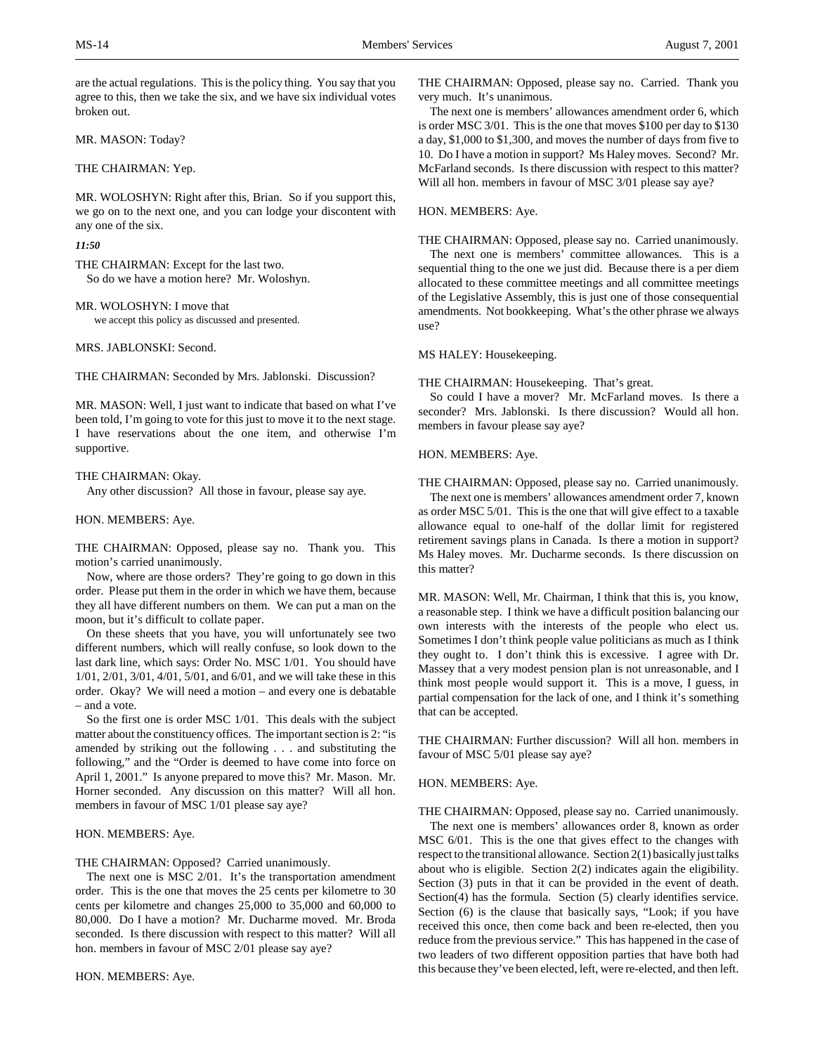are the actual regulations. This is the policy thing. You say that you agree to this, then we take the six, and we have six individual votes broken out.

MR. MASON: Today?

## THE CHAIRMAN: Yep.

MR. WOLOSHYN: Right after this, Brian. So if you support this, we go on to the next one, and you can lodge your discontent with any one of the six.

# *11:50*

THE CHAIRMAN: Except for the last two. So do we have a motion here? Mr. Woloshyn.

MR. WOLOSHYN: I move that we accept this policy as discussed and presented.

MRS. JABLONSKI: Second.

THE CHAIRMAN: Seconded by Mrs. Jablonski. Discussion?

MR. MASON: Well, I just want to indicate that based on what I've been told, I'm going to vote for this just to move it to the next stage. I have reservations about the one item, and otherwise I'm supportive.

## THE CHAIRMAN: Okay.

Any other discussion? All those in favour, please say aye.

## HON. MEMBERS: Aye.

THE CHAIRMAN: Opposed, please say no. Thank you. This motion's carried unanimously.

Now, where are those orders? They're going to go down in this order. Please put them in the order in which we have them, because they all have different numbers on them. We can put a man on the moon, but it's difficult to collate paper.

On these sheets that you have, you will unfortunately see two different numbers, which will really confuse, so look down to the last dark line, which says: Order No. MSC 1/01. You should have 1/01, 2/01, 3/01, 4/01, 5/01, and 6/01, and we will take these in this order. Okay? We will need a motion – and every one is debatable – and a vote.

So the first one is order MSC 1/01. This deals with the subject matter about the constituency offices. The important section is 2: "is amended by striking out the following . . . and substituting the following," and the "Order is deemed to have come into force on April 1, 2001." Is anyone prepared to move this? Mr. Mason. Mr. Horner seconded. Any discussion on this matter? Will all hon. members in favour of MSC 1/01 please say aye?

## HON. MEMBERS: Aye.

THE CHAIRMAN: Opposed? Carried unanimously.

The next one is MSC 2/01. It's the transportation amendment order. This is the one that moves the 25 cents per kilometre to 30 cents per kilometre and changes 25,000 to 35,000 and 60,000 to 80,000. Do I have a motion? Mr. Ducharme moved. Mr. Broda seconded. Is there discussion with respect to this matter? Will all hon. members in favour of MSC 2/01 please say aye?

THE CHAIRMAN: Opposed, please say no. Carried. Thank you very much. It's unanimous.

The next one is members' allowances amendment order 6, which is order MSC 3/01. This is the one that moves \$100 per day to \$130 a day, \$1,000 to \$1,300, and moves the number of days from five to 10. Do I have a motion in support? Ms Haley moves. Second? Mr. McFarland seconds. Is there discussion with respect to this matter? Will all hon. members in favour of MSC 3/01 please say aye?

## HON. MEMBERS: Aye.

THE CHAIRMAN: Opposed, please say no. Carried unanimously.

The next one is members' committee allowances. This is a sequential thing to the one we just did. Because there is a per diem allocated to these committee meetings and all committee meetings of the Legislative Assembly, this is just one of those consequential amendments. Not bookkeeping. What's the other phrase we always use?

### MS HALEY: Housekeeping.

#### THE CHAIRMAN: Housekeeping. That's great.

So could I have a mover? Mr. McFarland moves. Is there a seconder? Mrs. Jablonski. Is there discussion? Would all hon. members in favour please say aye?

## HON. MEMBERS: Aye.

THE CHAIRMAN: Opposed, please say no. Carried unanimously.

The next one is members' allowances amendment order 7, known as order MSC 5/01. This is the one that will give effect to a taxable allowance equal to one-half of the dollar limit for registered retirement savings plans in Canada. Is there a motion in support? Ms Haley moves. Mr. Ducharme seconds. Is there discussion on this matter?

MR. MASON: Well, Mr. Chairman, I think that this is, you know, a reasonable step. I think we have a difficult position balancing our own interests with the interests of the people who elect us. Sometimes I don't think people value politicians as much as I think they ought to. I don't think this is excessive. I agree with Dr. Massey that a very modest pension plan is not unreasonable, and I think most people would support it. This is a move, I guess, in partial compensation for the lack of one, and I think it's something that can be accepted.

THE CHAIRMAN: Further discussion? Will all hon. members in favour of MSC 5/01 please say aye?

## HON. MEMBERS: Aye.

THE CHAIRMAN: Opposed, please say no. Carried unanimously.

The next one is members' allowances order 8, known as order MSC 6/01. This is the one that gives effect to the changes with respect to the transitional allowance. Section 2(1) basically just talks about who is eligible. Section 2(2) indicates again the eligibility. Section (3) puts in that it can be provided in the event of death. Section(4) has the formula. Section (5) clearly identifies service. Section (6) is the clause that basically says, "Look; if you have received this once, then come back and been re-elected, then you reduce from the previous service." This has happened in the case of two leaders of two different opposition parties that have both had this because they've been elected, left, were re-elected, and then left.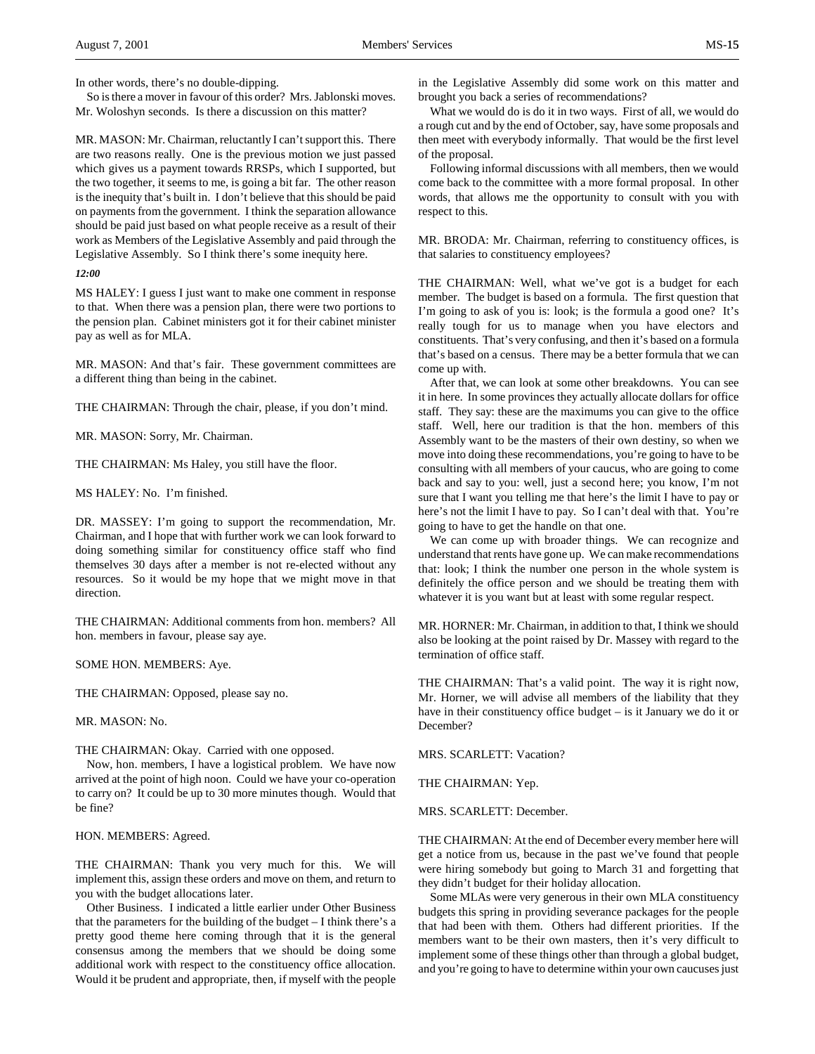In other words, there's no double-dipping.

So is there a mover in favour of this order? Mrs. Jablonski moves. Mr. Woloshyn seconds. Is there a discussion on this matter?

MR. MASON: Mr. Chairman, reluctantly I can't support this. There are two reasons really. One is the previous motion we just passed which gives us a payment towards RRSPs, which I supported, but the two together, it seems to me, is going a bit far. The other reason is the inequity that's built in. I don't believe that this should be paid on payments from the government. I think the separation allowance should be paid just based on what people receive as a result of their work as Members of the Legislative Assembly and paid through the Legislative Assembly. So I think there's some inequity here.

#### *12:00*

MS HALEY: I guess I just want to make one comment in response to that. When there was a pension plan, there were two portions to the pension plan. Cabinet ministers got it for their cabinet minister pay as well as for MLA.

MR. MASON: And that's fair. These government committees are a different thing than being in the cabinet.

THE CHAIRMAN: Through the chair, please, if you don't mind.

MR. MASON: Sorry, Mr. Chairman.

THE CHAIRMAN: Ms Haley, you still have the floor.

MS HALEY: No. I'm finished.

DR. MASSEY: I'm going to support the recommendation, Mr. Chairman, and I hope that with further work we can look forward to doing something similar for constituency office staff who find themselves 30 days after a member is not re-elected without any resources. So it would be my hope that we might move in that direction.

THE CHAIRMAN: Additional comments from hon. members? All hon. members in favour, please say aye.

SOME HON. MEMBERS: Aye.

THE CHAIRMAN: Opposed, please say no.

MR. MASON: No.

THE CHAIRMAN: Okay. Carried with one opposed.

Now, hon. members, I have a logistical problem. We have now arrived at the point of high noon. Could we have your co-operation to carry on? It could be up to 30 more minutes though. Would that be fine?

HON. MEMBERS: Agreed.

THE CHAIRMAN: Thank you very much for this. We will implement this, assign these orders and move on them, and return to you with the budget allocations later.

Other Business. I indicated a little earlier under Other Business that the parameters for the building of the budget – I think there's a pretty good theme here coming through that it is the general consensus among the members that we should be doing some additional work with respect to the constituency office allocation. Would it be prudent and appropriate, then, if myself with the people

in the Legislative Assembly did some work on this matter and brought you back a series of recommendations?

What we would do is do it in two ways. First of all, we would do a rough cut and by the end of October, say, have some proposals and then meet with everybody informally. That would be the first level of the proposal.

Following informal discussions with all members, then we would come back to the committee with a more formal proposal. In other words, that allows me the opportunity to consult with you with respect to this.

MR. BRODA: Mr. Chairman, referring to constituency offices, is that salaries to constituency employees?

THE CHAIRMAN: Well, what we've got is a budget for each member. The budget is based on a formula. The first question that I'm going to ask of you is: look; is the formula a good one? It's really tough for us to manage when you have electors and constituents. That's very confusing, and then it's based on a formula that's based on a census. There may be a better formula that we can come up with.

After that, we can look at some other breakdowns. You can see it in here. In some provinces they actually allocate dollars for office staff. They say: these are the maximums you can give to the office staff. Well, here our tradition is that the hon. members of this Assembly want to be the masters of their own destiny, so when we move into doing these recommendations, you're going to have to be consulting with all members of your caucus, who are going to come back and say to you: well, just a second here; you know, I'm not sure that I want you telling me that here's the limit I have to pay or here's not the limit I have to pay. So I can't deal with that. You're going to have to get the handle on that one.

We can come up with broader things. We can recognize and understand that rents have gone up. We can make recommendations that: look; I think the number one person in the whole system is definitely the office person and we should be treating them with whatever it is you want but at least with some regular respect.

MR. HORNER: Mr. Chairman, in addition to that, I think we should also be looking at the point raised by Dr. Massey with regard to the termination of office staff.

THE CHAIRMAN: That's a valid point. The way it is right now, Mr. Horner, we will advise all members of the liability that they have in their constituency office budget – is it January we do it or December?

MRS. SCARLETT: Vacation?

THE CHAIRMAN: Yep.

MRS. SCARLETT: December.

THE CHAIRMAN: At the end of December every member here will get a notice from us, because in the past we've found that people were hiring somebody but going to March 31 and forgetting that they didn't budget for their holiday allocation.

Some MLAs were very generous in their own MLA constituency budgets this spring in providing severance packages for the people that had been with them. Others had different priorities. If the members want to be their own masters, then it's very difficult to implement some of these things other than through a global budget, and you're going to have to determine within your own caucuses just